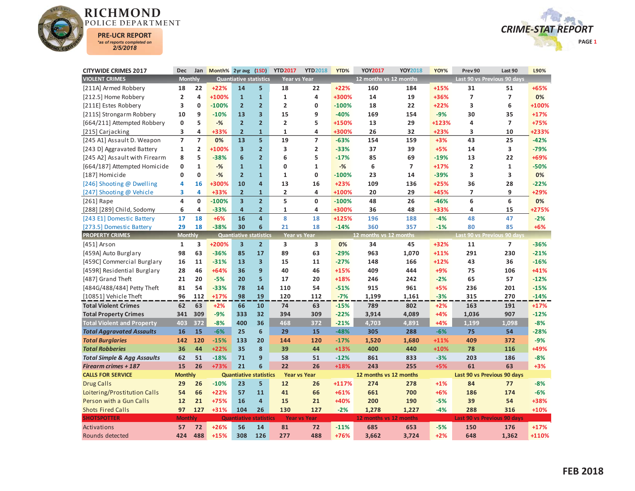



| <b>CITYWIDE CRIMES 2017</b>            | Dec                     | Jan            | Month% 2yr avg |                               | (1SD)          | <b>YTD2017</b>          | <b>YTD2018</b>          | YTD%    | YOY2017                | YOY2018        | YOY%   | Prev 90                 | Last 90                     | L90%    |
|----------------------------------------|-------------------------|----------------|----------------|-------------------------------|----------------|-------------------------|-------------------------|---------|------------------------|----------------|--------|-------------------------|-----------------------------|---------|
| <b>VIOLENT CRIMES</b>                  | <b>Monthly</b>          |                |                | <b>Quantiative statistics</b> |                | Year vs Year            |                         |         | 12 months vs 12 months |                |        |                         | Last 90 vs Previous 90 days |         |
| [211A] Armed Robbery                   | 18                      | 22             | $+22%$         | 14                            | 5              | 18                      | 22                      | $+22%$  | 160                    | 184            | $+15%$ | 31                      | 51                          | +65%    |
| [212.5] Home Robbery                   | $\overline{2}$          | 4              | +100%          | $\mathbf{1}$                  | $\mathbf{1}$   | $\mathbf{1}$            | 4                       | +300%   | 14                     | 19             | +36%   | $\overline{7}$          | $\overline{7}$              | 0%      |
| [211E] Estes Robbery                   | 3                       | $\mathbf 0$    | $-100%$        | $\overline{2}$                | $\overline{2}$ | $\overline{2}$          | $\mathbf{0}$            | $-100%$ | 18                     | 22             | $+22%$ | 3                       | 6                           | +100%   |
| [211S] Strongarm Robbery               | 10                      | 9              | $-10%$         | 13                            | 3              | 15                      | 9                       | $-40%$  | 169                    | 154            | $-9%$  | 30                      | 35                          | $+17%$  |
| [664/211] Attempted Robbery            | $\mathbf 0$             | 5              | $-$ %          | $\overline{2}$                | $\overline{2}$ | $\overline{2}$          | 5                       | +150%   | 13                     | 29             | +123%  | 4                       | $\overline{\phantom{a}}$    | +75%    |
| [215] Carjacking                       | 3                       | 4              | +33%           | $\overline{2}$                | $\mathbf{1}$   | $\mathbf{1}$            | 4                       | +300%   | 26                     | 32             | $+23%$ | 3                       | 10                          | +233%   |
| [245 A1] Assault D. Weapon             | $\overline{7}$          | $\overline{7}$ | 0%             | 13                            | 5              | 19                      | $\overline{7}$          | $-63%$  | 154                    | 159            | $+3%$  | 43                      | 25                          | $-42%$  |
| [243 D] Aggravated Battery             | $\mathbf{1}$            | $\overline{2}$ | +100%          | $\overline{\mathbf{3}}$       | $\overline{2}$ | 3                       | $\overline{\mathbf{2}}$ | $-33%$  | 37                     | 39             | $+5%$  | 14                      | 3                           | $-79%$  |
| [245 A2] Assault with Firearm          | 8                       | 5              | $-38%$         | 6                             | $\overline{2}$ | 6                       | 5                       | $-17%$  | 85                     | 69             | $-19%$ | 13                      | 22                          | +69%    |
| [664/187] Attempted Homicide           | $\mathbf 0$             | $\mathbf{1}$   | $-$ %          | $\overline{1}$                | $\mathbf{1}$   | $\mathbf{0}$            | $\mathbf{1}$            | $-$ %   | 6                      | $\overline{7}$ | $+17%$ | $\overline{\mathbf{c}}$ | $\mathbf{1}$                | $-50%$  |
| [187] Homicide                         | $\mathbf 0$             | $\mathbf{0}$   | $-$ %          | $\overline{2}$                | $\mathbf{1}$   | $\mathbf{1}$            | $\mathbf 0$             | $-100%$ | 23                     | 14             | $-39%$ | 3                       | 3                           | 0%      |
| [246] Shooting @ Dwelling              | 4                       | 16             | +300%          | 10                            | 4              | 13                      | 16                      | $+23%$  | 109                    | 136            | $+25%$ | 36                      | 28                          | $-22%$  |
| [247] Shooting @ Vehicle               | 3                       | 4              | +33%           | $\overline{2}$                | $\mathbf{1}$   | $\overline{\mathbf{2}}$ | $\overline{\mathbf{4}}$ | +100%   | 20                     | 29             | +45%   | 7                       | 9                           | +29%    |
| [261] Rape                             | $\overline{\mathbf{A}}$ | $\mathbf{0}$   | $-100%$        | $\overline{\mathbf{3}}$       | $\overline{2}$ | 5                       | $\Omega$                | $-100%$ | 48                     | 26             | $-46%$ | 6                       | 6                           | 0%      |
| [288] [289] Child, Sodomy              | 6                       | 4              | $-33%$         | $\overline{a}$                | $\overline{2}$ | $\mathbf{1}$            | 4                       | +300%   | 36                     | 48             | +33%   | 4                       | 15                          | $+275%$ |
| [243 E1] Domestic Battery              | 17                      | 18             | $+6%$          | 16                            | $\overline{4}$ | 8                       | 18                      | +125%   | 196                    | 188            | $-4%$  | 48                      | 47                          | $-2%$   |
| [273.5] Domestic Battery               | 29                      | 18             | $-38%$         | 30                            | 6              | 21                      | 18                      | $-14%$  | 360                    | 357            | $-1%$  | 80                      | 85                          | $+6%$   |
| <b>PROPERTY CRIMES</b>                 | <b>Monthly</b>          |                |                | <b>Quantiative statistics</b> |                | Year vs Year            |                         |         | 12 months vs 12 months |                |        |                         | Last 90 vs Previous 90 days |         |
| [451] Arson                            | $\mathbf{1}$            | 3              | +200%          | $\overline{\mathbf{3}}$       | $\overline{2}$ | 3                       | 3                       | 0%      | 34                     | 45             | +32%   | 11                      | $\overline{7}$              | $-36%$  |
| [459A] Auto Burglary                   | 98                      | 63             | $-36%$         | 85                            | 17             | 89                      | 63                      | $-29%$  | 963                    | 1,070          | $+11%$ | 291                     | 230                         | $-21%$  |
| [459C] Commercial Burglary             | 16                      | 11             | $-31%$         | 13                            | 3              | 15                      | 11                      | $-27%$  | 148                    | 166            | $+12%$ | 43                      | 36                          | $-16%$  |
| [459R] Residential Burglary            | 28                      | 46             | $+64%$         | 36                            | 9              | 40                      | 46                      | $+15%$  | 409                    | 444            | +9%    | 75                      | 106                         | $+41%$  |
| [487] Grand Theft                      | 21                      | 20             | $-5%$          | 20                            | 5              | 17                      | 20                      | $+18%$  | 246                    | 242            | $-2%$  | 65                      | 57                          | $-12%$  |
| [484G/488/484] Petty Theft             | 81                      | 54             | $-33%$         | 78                            | 14             | 110                     | 54                      | $-51%$  | 915                    | 961            | $+5%$  | 236                     | 201                         | $-15%$  |
| [10851] Vehicle Theft                  | 96                      | 112            | $+17%$         | 98                            | 19             | 120                     | 112                     | $-7%$   | 1,199                  | 1,161          | $-3%$  | 315                     | 270                         | $-14%$  |
| <b>Total Violent Crimes</b>            | 62                      | 63             | $+2%$          | 66                            | 10             | 74                      | 63                      | $-15%$  | 789                    | 802            | $+2%$  | 163                     | 191                         | $+17%$  |
| <b>Total Property Crimes</b>           | 341                     | 309            | $-9%$          | 333                           | 32             | 394                     | 309                     | $-22%$  | 3,914                  | 4,089          | $+4%$  | 1,036                   | 907                         | $-12%$  |
| <b>Total Violent and Property</b>      | 403                     | 372            | $-8%$          | 400                           | 36             | 468                     | 372                     | $-21%$  | 4,703                  | 4,891          | $+4%$  | 1,199                   | 1,098                       | $-8%$   |
| <b>Total Aggravated Assaults</b>       | 16                      | 15             | $-6%$          | 25                            | 6              | 29                      | 15                      | $-48%$  | 305                    | 288            | $-6%$  | 75                      | 54                          | $-28%$  |
| <b>Total Burglaries</b>                | 142                     | 120            | $-15%$         | 133                           | 20             | 144                     | 120                     | $-17%$  | 1,520                  | 1,680          | $+11%$ | 409                     | 372                         | $-9%$   |
| <b>Total Robberies</b>                 | 36                      | 44             | $+22%$         | 35                            | 8              | 39                      | 44                      | $+13%$  | 400                    | 440            | $+10%$ | 78                      | 116                         | +49%    |
| <b>Total Simple &amp; Agg Assaults</b> | 62                      | 51             | $-18%$         | 71                            | 9              | 58                      | 51                      | $-12%$  | 861                    | 833            | $-3%$  | 203                     | 186                         | $-8%$   |
| <b>Firearm crimes + 187</b>            | 15                      | 26             | +73%           | 21                            | 6              | 22                      | 26                      | $+18%$  | 243                    | 255            | $+5%$  | 61                      | 63                          | $+3%$   |
| <b>CALLS FOR SERVICE</b>               | <b>Monthly</b>          |                |                | <b>Quantiative statistics</b> |                | <b>Year vs Year</b>     |                         |         | 12 months vs 12 months |                |        |                         | Last 90 vs Previous 90 days |         |
| <b>Drug Calls</b>                      | 29                      | 26             | $-10%$         | 23                            | 5              | 12                      | 26                      | +117%   | 274                    | 278            | $+1%$  | 84                      | 77                          | $-8%$   |
| Loitering/Prostitution Calls           | 54                      | 66             | $+22%$         | 57                            | 11             | 41                      | 66                      | $+61%$  | 661                    | 700            | $+6%$  | 186                     | 174                         | $-6%$   |
| Person with a Gun Calls                | 12                      | 21             | +75%           | 16                            | $\overline{4}$ | 15                      | 21                      | +40%    | 200                    | 190            | $-5%$  | 39                      | 54                          | +38%    |
| <b>Shots Fired Calls</b>               | 97                      | 127            | $+31%$         | 104                           | 26             | 130                     | 127                     | $-2%$   | 1,278                  | 1,227          | $-4%$  | 288                     | 316                         | $+10%$  |
| <b>SHOTSPOTTER</b>                     | <b>Monthly</b>          |                |                | <b>Quantiative statistics</b> |                |                         | <b>Year vs Year</b>     |         | 12 months vs 12 months |                |        |                         | Last 90 vs Previous 90 days |         |
| Activations                            | 57                      | 72             | $+26%$         | 56                            | 14             | 81                      | 72                      | $-11%$  | 685                    | 653            | $-5%$  | 150                     | 176                         | $+17%$  |
| Rounds detected                        | 424                     | 488            | $+15%$         | 308                           | 126            | 277                     | 488                     | +76%    | 3.662                  | 3.724          | $+2%$  | 648                     | 1,362                       | +110%   |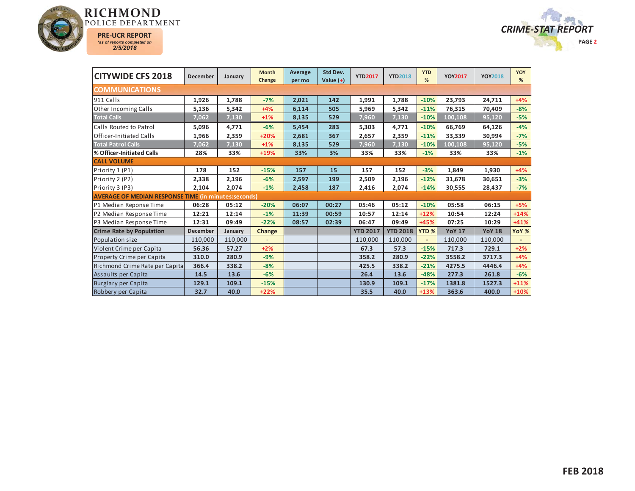



| <b>CITYWIDE CFS 2018</b>                                    | December        | January | <b>Month</b><br>Change | Average<br>per mo | Std Dev.<br>Value $(+)$ | <b>YTD2017</b>  | <b>YTD2018</b>  | <b>YTD</b><br>%  | <b>YOY2017</b> | <b>YOY2018</b> | <b>YOY</b><br>% |
|-------------------------------------------------------------|-----------------|---------|------------------------|-------------------|-------------------------|-----------------|-----------------|------------------|----------------|----------------|-----------------|
| <b>COMMUNICATIONS</b>                                       |                 |         |                        |                   |                         |                 |                 |                  |                |                |                 |
| 911 Calls                                                   | 1,926           | 1,788   | $-7%$                  | 2,021             | 142                     | 1,991           | 1,788           | $-10%$           | 23,793         | 24,711         | $+4%$           |
| Other Incoming Calls                                        | 5,136           | 5,342   | $+4%$                  | 6,114             | 505                     | 5,969           | 5,342           | $-11%$           | 76,315         | 70,409         | $-8%$           |
| <b>Total Calls</b>                                          | 7,062           | 7,130   | $+1%$                  | 8,135             | 529                     | 7,960           | 7,130           | $-10%$           | 100,108        | 95,120         | $-5%$           |
| Calls Routed to Patrol                                      | 5,096           | 4,771   | $-6%$                  | 5,454             | 283                     | 5,303           | 4,771           | $-10%$           | 66,769         | 64,126         | $-4%$           |
| Officer-Initiated Calls                                     | 1,966           | 2,359   | +20%                   | 2,681             | 367                     | 2,657           | 2,359           | $-11%$           | 33,339         | 30,994         | $-7%$           |
| <b>Total Patrol Calls</b>                                   | 7,062           | 7,130   | $+1%$                  | 8,135             | 529                     | 7,960           | 7,130           | $-10%$           | 100,108        | 95,120         | $-5%$           |
| <b>% Officer-Initiated Calls</b>                            | 28%             | 33%     | +19%                   | 33%               | 3%                      | 33%             | 33%             | $-1%$            | 33%            | 33%            | $-1%$           |
| <b>CALL VOLUME</b>                                          |                 |         |                        |                   |                         |                 |                 |                  |                |                |                 |
| Priority 1 (P1)                                             | 178             | 152     | $-15%$                 | 157               | 15                      | 157             | 152             | $-3%$            | 1,849          | 1,930          | $+4%$           |
| Priority 2 (P2)                                             | 2,338           | 2,196   | $-6%$                  | 2,597             | 199                     | 2,509           | 2,196           | $-12%$           | 31,678         | 30,651         | $-3%$           |
| Priority 3 (P3)                                             | 2,104           | 2,074   | $-1%$                  | 2,458             | 187                     | 2,416           | 2,074           | $-14%$           | 30,555         | 28,437         | $-7%$           |
| <b>AVERAGE OF MEDIAN RESPONSE TIME (in minutes:seconds)</b> |                 |         |                        |                   |                         |                 |                 |                  |                |                |                 |
| P1 Median Reponse Time                                      | 06:28           | 05:12   | $-20%$                 | 06:07             | 00:27                   | 05:46           | 05:12           | $-10%$           | 05:58          | 06:15          | $+5%$           |
| P2 Median Response Time                                     | 12:21           | 12:14   | $-1%$                  | 11:39             | 00:59                   | 10:57           | 12:14           | $+12%$           | 10:54          | 12:24          | $+14%$          |
| P3 Median Response Time                                     | 12:31           | 09:49   | $-22%$                 | 08:57             | 02:39                   | 06:47           | 09:49           | +45%             | 07:25          | 10:29          | $+41%$          |
| <b>Crime Rate by Population</b>                             | <b>December</b> | January | Change                 |                   |                         | <b>YTD 2017</b> | <b>YTD 2018</b> | YTD <sub>%</sub> | <b>YoY 17</b>  | <b>YoY 18</b>  | YoY %           |
| Population size                                             | 110,000         | 110,000 |                        |                   |                         | 110,000         | 110,000         |                  | 110,000        | 110,000        |                 |
| Violent Crime per Capita                                    | 56.36           | 57.27   | $+2%$                  |                   |                         | 67.3            | 57.3            | $-15%$           | 717.3          | 729.1          | $+2%$           |
| Property Crime per Capita                                   | 310.0           | 280.9   | $-9%$                  |                   |                         | 358.2           | 280.9           | $-22%$           | 3558.2         | 3717.3         | $+4%$           |
| Richmond Crime Rate per Capita                              | 366.4           | 338.2   | $-8%$                  |                   |                         | 425.5           | 338.2           | $-21%$           | 4275.5         | 4446.4         | $+4%$           |
| Assaults per Capita                                         | 14.5            | 13.6    | $-6%$                  |                   |                         | 26.4            | 13.6            | $-48%$           | 277.3          | 261.8          | $-6%$           |
| Burglary per Capita                                         | 129.1           | 109.1   | $-15%$                 |                   |                         | 130.9           | 109.1           | $-17%$           | 1381.8         | 1527.3         | $+11%$          |
| Robbery per Capita                                          | 32.7            | 40.0    | $+22%$                 |                   |                         | 35.5            | 40.0            | $+13%$           | 363.6          | 400.0          | $+10%$          |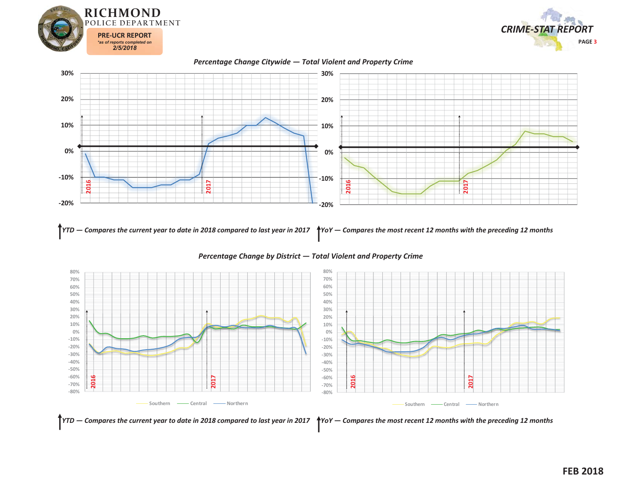











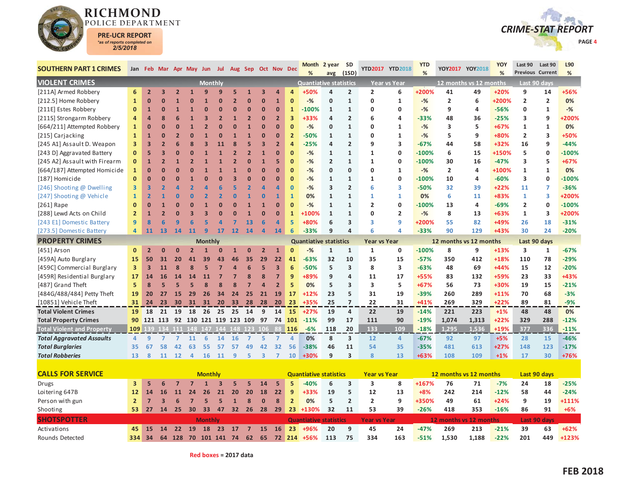

Rounds Detected



| <b>SOUTHERN PART 1 CRIMES</b>     |                         |                         |                         |                         | Jan Feb Mar Apr May Jun Jul Aug Sep Oct Nov Dec |                |                |          |                         |                         |                         |                | <b>Month</b><br>%             | 2 year SD<br>avg | (1SD)                   |                         | YTD2017 YTD2018 | <b>YTD</b><br>% |                        | YOY2017 YOY2018        | YOY<br>% | Last 90<br>Previous Current | Last 90             | L90<br>%    |
|-----------------------------------|-------------------------|-------------------------|-------------------------|-------------------------|-------------------------------------------------|----------------|----------------|----------|-------------------------|-------------------------|-------------------------|----------------|-------------------------------|------------------|-------------------------|-------------------------|-----------------|-----------------|------------------------|------------------------|----------|-----------------------------|---------------------|-------------|
| <b>VIOLENT CRIMES</b>             |                         |                         |                         |                         |                                                 | <b>Monthly</b> |                |          |                         |                         |                         |                | <b>Quantiative statistics</b> |                  |                         |                         | Year vs Year    |                 |                        | 12 months vs 12 months |          |                             | Last 90 days        |             |
| [211A] Armed Robbery              | 6                       | $\overline{2}$          | $\overline{\mathbf{3}}$ | $\overline{2}$          | $\overline{1}$                                  | 9              | q              | 5        | $\overline{\mathbf{1}}$ | 3                       | $\overline{a}$          | $\overline{a}$ | +50%                          | 4                | $\overline{2}$          | $\overline{2}$          | 6               | +200%           | 41                     | 49                     | $+20%$   | 9                           | 14                  | +56%        |
| [212.5] Home Robbery              | $\mathbf{1}$            | $\overline{0}$          | $\Omega$                | 1                       | 0                                               |                | $\overline{0}$ |          | $\Omega$                | $\Omega$                | $\mathbf{1}$            | $\mathbf 0$    | $-$ %                         | 0                | $\mathbf{1}$            | $\mathbf 0$             | $\mathbf{1}$    | $-%$            | $\overline{2}$         | 6                      | +200%    | $\overline{2}$              | $\overline{2}$      | 0%          |
| [211E] Estes Robbery              | $\bf{0}$                | $\mathbf{1}$            | $\mathbf{0}$            | $\mathbf{1}$            |                                                 | O              | $\Omega$       | $\Omega$ | $\Omega$                | $\Omega$                | $\Omega$                | $\mathbf{1}$   | $-100%$                       | $\mathbf{1}$     | 1                       | $\Omega$                | 0               | $-$ %           | 9                      | 4                      | $-56%$   | $\mathbf 0$                 | $\mathbf{1}$        | $-$ %       |
| [211S] Strongarm Robbery          | $\overline{4}$          | $\overline{a}$          | $\overline{\mathbf{8}}$ | 6                       |                                                 | 3              | $\overline{2}$ |          | $\overline{2}$          | $\Omega$                | $\overline{2}$          | $\overline{3}$ | +33%                          | 4                | $\overline{2}$          | 6                       | 4               | $-33%$          | 48                     | 36                     | $-25%$   | 3                           | 9                   | <b>200%</b> |
| [664/211] Attempted Robbery       | $\mathbf{1}$            | $\bf{0}$                | $\mathbf{0}$            | $\Omega$                |                                                 |                |                |          |                         | $\Omega$                | $\Omega$                | $\Omega$       | $-%$                          | 0                | $\mathbf{1}$            | $\Omega$                | $\mathbf{1}$    | $-$ %           | 3                      | 5                      | $+67%$   | $\mathbf{1}$                | 1                   | 0%          |
| [215] Carjacking                  | $\mathbf{1}$            | $\mathbf{1}$            | $\Omega$                | $\overline{2}$          | ŋ                                               |                |                |          |                         | $\Omega$                | $\Omega$                | $\overline{2}$ | $-50%$                        | $\mathbf{1}$     | $\mathbf{1}$            | $\mathbf 0$             | 1               | $-$ %           | 5                      | 9                      | +80%     | $\overline{2}$              | 3                   | +50%        |
| [245 A1] Assault D. Weapon        | 3                       | $\overline{\mathbf{3}}$ | $\overline{2}$          | 6                       | 8                                               | 3              |                |          |                         | $\overline{\mathbf{3}}$ | $\overline{\mathbf{z}}$ | $\overline{a}$ | $-25%$                        | 4                | $\overline{2}$          | 9                       | 3               | $-67%$          | 44                     | 58                     | +32%     | 16                          | 9                   | $-44%$      |
| [243 D] Aggravated Battery        | $\mathbf{0}$            | 5                       | $\overline{\mathbf{3}}$ | O                       |                                                 |                |                |          | $\overline{2}$          | $\mathbf{1}$            | $\overline{0}$          | $\Omega$       | $-%$                          | $\mathbf{1}$     | $\mathbf{1}$            | $\mathbf{1}$            | 0               | $-100%$         | 6                      | 15                     | +150%    | 5                           | $\mathbf 0$         | $-100%$     |
| [245 A2] Assault with Firearm     | $\bf{0}$                | $\mathbf{1}$            | $\overline{2}$          | $\mathbf{1}$            |                                                 |                |                |          | $\Omega$                |                         | 5                       | $\Omega$       | $-$ %                         | $\overline{2}$   | $\mathbf{1}$            | $\mathbf{1}$            | 0               | $-100%$         | 30                     | 16                     | $-47%$   | 3                           | 5                   | $+67%$      |
| [664/187] Attempted Homicide      | $\mathbf{1}$            | $\bf{0}$                | $\Omega$                | $\Omega$                | ŋ                                               |                |                |          | n                       | $\Omega$                | n                       | $\Omega$       | $-$ %                         | 0                | $\Omega$                | 0                       | $\mathbf{1}$    | $-%$            | $\overline{2}$         | 4                      | +100%    | $\mathbf{1}$                | $\mathbf{1}$        | 0%          |
| [187] Homicide                    | $\mathbf{0}$            | $\overline{0}$          | $\Omega$                | $\Omega$                |                                                 |                |                |          | $\Omega$                | $\Omega$                | $\overline{0}$          | $\Omega$       | $-$ %                         | $\mathbf{1}$     | 1                       | 1                       | $\mathbf{0}$    | $-100%$         | 10                     | 4                      | $-60%$   | 3                           | $\mathbf{0}$        | $-100%$     |
| [246] Shooting @ Dwelling         | $\overline{\mathbf{3}}$ | 3                       | $\overline{2}$          | Δ                       |                                                 |                |                |          |                         |                         | Δ                       | $\overline{0}$ | $-$ %                         | 3                | $\overline{2}$          | 6                       | 3               | $-50%$          | 32                     | 39                     | $+22%$   | 11                          | $\overline{7}$      | $-36%$      |
| [247] Shooting @ Vehicle          | $\mathbf{1}$            | $\overline{2}$          | 1                       | $\Omega$                | በ                                               |                |                |          |                         | $\mathbf 0$             | 1                       | $\mathbf{1}$   | 0%                            | $\mathbf{1}$     | $\mathbf{1}$            | 1                       | $\mathbf{1}$    | 0%              | 6                      | 11                     | $+83%$   | 1                           | 3                   | +200%       |
| $[261]$ Rape                      | $\mathbf 0$             | $\Omega$                | $\mathbf{1}$            | Ω                       | በ                                               |                |                |          |                         | 1                       | $\Omega$                | $\Omega$       | $-$ %                         | $\mathbf{1}$     | $\mathbf{1}$            | $\overline{2}$          | 0               | $-100%$         | 13                     | 4                      | $-69%$   | $\overline{2}$              | $\mathbf{0}$        | $-100%$     |
| [288] Lewd Acts on Child          | $\overline{2}$          | $\mathbf{1}$            | $\overline{2}$          | O                       | 3                                               |                |                |          |                         | $\overline{0}$          | $\Omega$                | $\mathbf{1}$   | +100%                         | $\mathbf{1}$     | $\mathbf{1}$            | 0                       | $\overline{2}$  | $-$ %           | 8                      | 13                     | $+63%$   | $\mathbf{1}$                | 3                   | +200%       |
| [243 E1] Domestic Battery         | 9                       | 8                       | 6                       | 9                       | 6                                               |                |                |          | 13                      | 6                       | 4                       | 5              | +80%                          | 6                | 3                       | $\overline{\mathbf{3}}$ | 9               | +200%           | 55                     | 82                     | +49%     | 26                          | 18                  | $-31%$      |
| [273.5] Domestic Battery          | $\overline{4}$          | 11                      | 13                      | 14                      | 11                                              | q              | 17             | 12       | 14                      |                         | 14                      | 6              | $-33%$                        | 9                | $\overline{\mathbf{4}}$ | 6                       | 4               | $-33%$          | 90                     | 129                    | +43%     | 30                          | 24                  | $-20%$      |
| <b>PROPERTY CRIMES</b>            |                         |                         |                         |                         |                                                 | <b>Monthly</b> |                |          |                         |                         |                         |                | <b>Quantiative statistics</b> |                  |                         | <b>Year vs Year</b>     |                 |                 | 12 months vs 12 months |                        |          | Last 90 days                |                     |             |
| [451] Arson                       | $\mathbf{0}$            | $\overline{2}$          | $\Omega$                | $\Omega$                | $\overline{2}$                                  |                | n              |          | $\Omega$                | $\overline{2}$          | $\mathbf{1}$            | $\Omega$       | $-%$                          | 1                | 1                       | 1                       | 0               | $-100%$         | 8                      | 9                      | $+13%$   | 3                           | 1                   | $-67%$      |
| [459A] Auto Burglary              | 15                      | 50                      | 31                      | 20                      | 41                                              | 39             | 43             | 46       | 35                      | 29                      | 22                      | 41             | $-63%$                        | 32               | 10                      | 35                      | 15              | $-57%$          | 350                    | 412                    | $+18%$   | 110                         | 78                  | $-29%$      |
| [459C] Commercial Burglary        | $\overline{\mathbf{3}}$ | $\overline{\mathbf{3}}$ | 11                      | $\overline{\mathbf{g}}$ | 8                                               | 5              |                |          | 6                       | 5                       | $\overline{\mathbf{3}}$ | 6              | $-50%$                        | 5                | 3                       | 8                       | 3               | $-63%$          | 48                     | 69                     | $+44%$   | 15                          | 12                  | $-20%$      |
| [459R] Residential Burglary       | 17                      | 14                      | <b>16</b>               | 14                      | 14                                              | 11             |                |          |                         | 8                       | $\overline{7}$          | 9              | +89%                          | 9                | 4                       | 11                      | 17              | +55%            | 83                     | 132                    | +59%     | 23                          | 33                  | +43%        |
| [487] Grand Theft                 | 5                       | 8                       | 5                       | 5                       | 5                                               | 8              |                |          |                         | $\overline{a}$          | $\overline{2}$          | 5              | 0%                            | 5                | $\overline{\mathbf{3}}$ | $\overline{\mathbf{3}}$ | 5               | $+67%$          | 56                     | 73                     | +30%     | 19                          | 15                  | $-21%$      |
| [484G/488/484] Petty Theft        | 19                      | 20                      | 27                      | 15                      | 29                                              | 26             | 34             | 24       | 25                      | 21                      | 19                      | 17             | $+12%$                        | 23               | 5                       | 31                      | 19              | $-39%$          | 260                    | 289                    | $+11%$   | 70                          | 68                  | $-3%$       |
| [10851] Vehicle Theft             | 31                      | 24                      | 23                      | 30                      | 31                                              | 31             | 20             | 33       | 28                      | 28                      | 20                      | 23             | $+35%$                        | 25               | $\overline{7}$          | 22                      | 31              | $+41%$          | 269                    | 329                    | $+22%$   | 89                          | 81                  | $-9%$       |
| <b>Total Violent Crimes</b>       | 19                      | 18                      | 21                      | 19                      | 18                                              | 26             | 25             | 25       | 14                      | 9                       | 14                      | <b>15</b>      | $+27%$                        | 19               | 4                       | 22                      | 19              | $-14%$          | 221                    | 223                    | $+1%$    | 48                          | 48                  | 0%          |
| <b>Total Property Crimes</b>      | 90                      |                         | 121 113                 | 92                      | 130 121 119 123 109                             |                |                |          |                         | 97                      | 74                      | 101            | $-11%$                        | 99               | 17                      | 111                     | 90              | $-19%$          | 1,074                  | 1,313                  | $+22%$   | 329                         | 288                 | $-12%$      |
| <b>Total Violent and Property</b> | 109                     | 39                      |                         |                         | 134 111 148 147 144 148 123 106                 |                |                |          |                         |                         |                         | 116            | $-6%$                         | 118              | 20                      | 133                     | 109             | $-18%$          | 1.295                  | 1.536                  | $+19%$   | 377                         | 336                 | $-11%$      |
| <b>Total Aggravated Assaults</b>  | $\overline{4}$          | 9                       | $\overline{7}$          | $\overline{7}$          | 11                                              | 6              | 14             | 16       | $\overline{ }$          | 5                       | $\overline{7}$          | $\overline{a}$ | 0%                            | 8                | 3                       | 12                      | $\overline{4}$  | $-67%$          | 92                     | 97                     | $+5%$    | 28                          | 15                  | $-46%$      |
| <b>Total Burglaries</b>           | 35                      | 67                      | 58                      | 42                      | 63                                              | 55             | 57             | 57       | 49                      | 42                      | 32                      | 56             | $-38%$                        | 46               | 11                      | 54                      | 35              | $-35%$          | 481                    | 613                    | $+27%$   | 148                         | 123                 | $-17%$      |
| <b>Total Robberies</b>            | 13                      | 8                       |                         | 11 12                   | $\overline{a}$                                  | 16             | 11             | 9        | 5                       | 3                       | $\overline{7}$          | 10             | +30%                          | 9                | $\overline{\mathbf{3}}$ | 8                       | 13              | +63%            | 108                    | 109                    | $+1%$    | 17                          | 30                  | +76%        |
|                                   |                         |                         |                         |                         |                                                 |                |                |          |                         |                         |                         |                |                               |                  |                         |                         |                 |                 |                        |                        |          |                             |                     |             |
| <b>CALLS FOR SERVICE</b>          |                         |                         |                         |                         |                                                 | <b>Monthly</b> |                |          |                         |                         |                         |                | <b>Quantiative statistics</b> |                  |                         | <b>Year vs Year</b>     |                 |                 | 12 months vs 12 months |                        |          |                             | Last 90 days        |             |
| Drugs                             | 3                       | 5                       | 6                       | $\overline{7}$          | $\overline{7}$                                  | $\mathbf{1}$   | 3              | 5        | 5                       | 14                      | 5                       | 5              | $-40%$                        | 6                | 3                       | 3                       | 8               | +167%           | 76                     | 71                     | $-7%$    | 24                          | 18                  | $-25%$      |
| Loitering 647B                    | 12                      | 14                      | 16                      | 11                      | 24                                              | 26             | 21             | 20       | 20                      | 18                      | 22                      | 9              | +33%                          | 19               | 5                       | 12                      | 13              | $+8%$           | 242                    | 214                    | $-12%$   | 58                          | 44                  | $-24%$      |
| Person with gun                   | $\overline{2}$          | $\overline{7}$          | $\overline{\mathbf{z}}$ | 6                       |                                                 | 5              | 5              |          | $\mathbf{8}$            | $\Omega$                | 8                       | $\overline{2}$ | 0%                            | 5                | $\overline{2}$          | $\overline{2}$          | 9               | +350%           | 49                     | 61                     | $+24%$   | 9                           | 19                  | +111%       |
| Shooting                          | 53                      | 27                      | 14                      | 25                      | 30                                              | 33             | 47             | 32       | 26                      | 28                      | 29                      | 23             | +130%                         | 32               | 11                      | 53                      | 39              | $-26%$          | 418                    | 353                    | $-16%$   | 86                          | 91                  | $+6%$       |
| <b>SHOTSPOTTER</b>                |                         |                         |                         |                         |                                                 | <b>Monthly</b> |                |          |                         |                         |                         |                | <b>Quantiative statistics</b> |                  |                         | Year vs Year            |                 |                 | 12 months vs 12 months |                        |          |                             | <b>Last 90 days</b> |             |
| Activations                       | 45                      | 15                      | 14                      | 22                      | <b>19</b>                                       | 18             | 23             | 17       | $\overline{7}$          | 15                      | <b>16</b>               | 23             | +96%                          | 20               | 9                       | 45                      | 24              | $-47%$          | 269                    | 213                    | $-21%$   | 39                          | 63                  | $+62%$      |

d 334 34 64 128 70 101 141 74 62 65 72 <mark>214</mark> +56% 113 75 334 163 <u>-</u>51% 1,530 1,188 -22% 201 449 +123%

**Red boxes = 2017 data**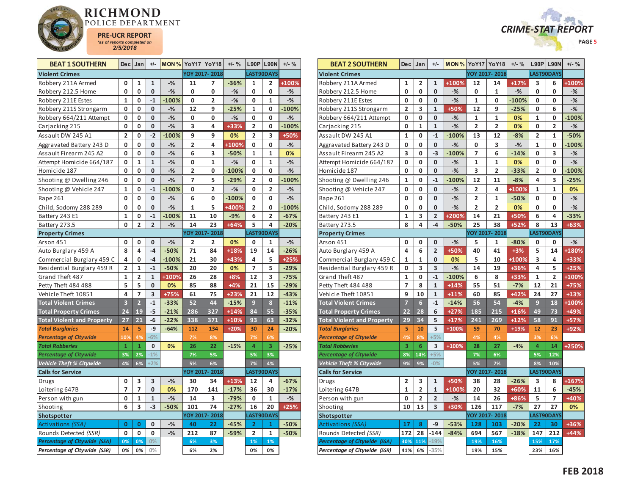



| <b>BEAT 1 SOUTHERN</b>              |              | $Dec$ Jan      | +/-          |         | <b>MON % YoY17 YoY18</b> |               | $+/-$ % |                | $L90P$ L90N    | $+/-$ % |
|-------------------------------------|--------------|----------------|--------------|---------|--------------------------|---------------|---------|----------------|----------------|---------|
| <b>Violent Crimes</b>               |              |                |              |         |                          | YOY 2017-2018 |         |                | LAST90DAYS     |         |
| Robbery 211A Armed                  | 0            | 1              | 1            | $-%$    | 11                       | 7             | $-36%$  | 1              | 2              | +100%   |
| Robbery 212.5 Home                  | 0            | 0              | 0            | $-$ %   | 0                        | 0             | $-%$    | 0              | 0              | $-%$    |
| Robbery 211E Estes                  | $\mathbf{1}$ | 0              | $-1$         | $-100%$ | 0                        | 2             | $-%$    | 0              | 1              | $-%$    |
| Robbery 211S Strongarm              | 0            | 0              | $\mathbf{0}$ | $-%$    | 12                       | 9             | $-25%$  | 1              | 0              | $-100%$ |
| Robbery 664/211 Attempt             | 0            | 0              | 0            | $-$ %   | 0                        | 0             | $-$ %   | 0              | 0              | $-%$    |
| Carjacking 215                      | 0            | 0              | 0            | $-%$    | 3                        | 4             | +33%    | $\overline{2}$ | 0              | $-100%$ |
| Assault DW 245 A1                   | 2            | 0              | $-2$         | $-100%$ | 9                        | 9             | 0%      | 2              | 3              | +50%    |
| Aggravated Battery 243 D            | 0            | 0              | 0            | $-%$    | 2                        | 4             | +100%   | 0              | 0              | $-$ %   |
| Assault Firearm 245 A2              | 0            | 0              | 0            | $-%$    | 6                        | 3             | $-50%$  | 1              | 1              | 0%      |
| Attempt Homicide 664/187            | 0            | 1              | $\mathbf{1}$ | $-$ %   | 0                        | 1             | $-%$    | 0              | $\mathbf{1}$   | $-$ %   |
| Homicide 187                        | 0            | $\mathbf 0$    | 0            | $-$ %   | $\overline{\mathbf{c}}$  | 0             | $-100%$ | 0              | 0              | $-$ %   |
| Shooting @ Dwelling 246             | 0            | 0              | 0            | $-%$    | 7                        | 5             | $-29%$  | $\overline{2}$ | 0              | $-100%$ |
| Shooting @ Vehicle 247              | 1            | 0              | $-1$         | $-100%$ | 0                        | 2             | $-$ %   | 0              | 2              | $-$ %   |
| Rape 261                            | 0            | 0              | 0            | $-$ %   | 6                        | 0             | $-100%$ | 0              | 0              | $-%$    |
| Child, Sodomy 288 289               | 0            | 0              | 0            | $-$ %   | $\mathbf{1}$             | 5             | +400%   | 2              | 0              | $-100%$ |
| Battery 243 E1                      | $\mathbf{1}$ | 0              | $-1$         | $-100%$ | 11                       | 10            | $-9%$   | 6              | $\overline{2}$ | $-67%$  |
| Battery 273.5                       | 0            | 2              | 2            | $-%$    | 14                       | 23            | +64%    | 5              | 4              | $-20%$  |
| <b>Property Crimes</b>              |              |                |              |         |                          | YOY 2017-2018 |         |                | LAST90DAYS     |         |
| Arson 451                           | 0            | 0              | 0            | $-%$    | 2                        | 2             | 0%      | 0              | 1              | $-%$    |
| Auto Burglary 459 A                 | 8            | 4              | $-4$         | $-50%$  | 71                       | 84            | $+18%$  | 19             | 14             | $-26%$  |
| Commercial Burglary 459 C           | 4            | $\mathbf 0$    | $-4$         | $-100%$ | 21                       | 30            | +43%    | 4              | 5              | $+25%$  |
| Residential Burglary 459 R          | 2            | 1              | $-1$         | $-50%$  | 20                       | 20            | 0%      | 7              | 5              | $-29%$  |
| Grand Theft 487                     | $\mathbf{1}$ | $\overline{2}$ | $\mathbf{1}$ | +100%   | 26                       | 28            | $+8%$   | 12             | 3              | $-75%$  |
| Petty Theft 484 488                 | 5            | 5              | 0            | 0%      | 85                       | 88            | $+4%$   | 21             | 15             | $-29%$  |
| Vehicle Theft 10851                 | 4            | 7              | 3            | +75%    | 61                       | 75            | $+23%$  | 21             | 12             | $-43%$  |
| <b>Total Violent Crimes</b>         | 3            | $\overline{2}$ | $-1$         | $-33%$  | 52                       | 44            | $-15%$  | 9              | 8              | $-11%$  |
| <b>Total Property Crimes</b>        | 24           | 19             | $-5$         | $-21%$  | 286                      | 327           | $+14%$  | 84             | 55             | $-35%$  |
| <b>Total Violent and Property</b>   | 27           | 21             | -6           | $-22%$  | 338                      | 371           | $+10%$  | 93             | 63             | $-32%$  |
| <b>Total Burglaries</b>             | 14           | 5              | -9           | $-64%$  | 112                      | 134           | $+20%$  | 30             | 24             | $-20%$  |
| <b>Percentage of Citywide</b>       | 10%          | 4%             | $-6%$        |         | 7%                       | 8%            |         | 7%             | 6%             |         |
| <b>Total Robberies</b>              | $\mathbf{1}$ | $\mathbf{1}$   | 0            | 0%      | 26                       | 22            | $-15%$  | 4              | 3              | $-25%$  |
| <b>Percentage of Citywide</b>       | 3%           | 2%             | $-1%$        |         | 7%                       | 5%            |         | 5%             | 3%             |         |
| Vehicle Theft % Citywide            | 4%           | 6%             | $+2%$        |         | 5%                       | 6%            |         | 7%             | 4%             |         |
| <b>Calls for Service</b>            |              |                |              |         |                          | YOY 2017-2018 |         |                | LAST90DAYS     |         |
| Drugs                               | 0            | 3              | 3            | $-%$    | 30                       | 34            | $+13%$  | 12             | 4              | $-67%$  |
| Loitering 647B                      | 7            | 7              | 0            | 0%      | 170                      | 141           | $-17%$  | 36             | 30             | $-17%$  |
| Person with gun                     | 0            | 1              | $\mathbf{1}$ | $-$ %   | 14                       | 3             | $-79%$  | 0              | $\mathbf{1}$   | $-%$    |
| Shooting                            | 6            | 3              | $-3$         | $-50%$  | 101                      | 74            | $-27%$  | 16             | 20             | $+25%$  |
| <b>Shotspotter</b>                  |              |                |              |         |                          | YOY 2017-2018 |         |                | LAST90DAYS     |         |
| Activations (SSA)                   | 0            | 0              | 0            | $-%$    | 40                       | 22            | $-45%$  | 2              | 1              | $-50%$  |
| Rounds Detected (SSR)               | 0            | 0              | 0            | $-%$    | 212                      | 87            | $-59%$  | 2              | $\mathbf{1}$   | $-50%$  |
| <b>Percentage of Citywide (SSA)</b> | 0%           | 0%             | 0%           |         | 6%                       | 3%            |         | 1%             | 1%             |         |
| Percentage of Citywide (SSR)        | 0%           | 0%             | $0\%$        |         | 6%                       | 2%            |         | 0%             | 0%             |         |

| <b>BEAT 2 SOUTHERN</b>                                       | Dec                      | Jan                     | $+/-$                   | <b>MON % YoY17 YoY18</b> |                         |                | $+/-$ % |                | L90P L90N      | $+/-$ % |
|--------------------------------------------------------------|--------------------------|-------------------------|-------------------------|--------------------------|-------------------------|----------------|---------|----------------|----------------|---------|
| <b>Violent Crimes</b>                                        |                          |                         |                         |                          |                         | YOY 2017-2018  |         |                | LAST90DAYS     |         |
| Robbery 211A Armed                                           | 1                        | 2                       | 1                       | +100%                    | 12                      | 14             | $+17%$  | 3              | 6              | +100%   |
| Robbery 212.5 Home                                           | 0                        | O                       | 0                       | $-%$                     | 0                       | $\mathbf{1}$   | $-%$    | 0              | 0              | $-%$    |
| Robbery 211E Estes                                           | $\mathbf{0}$             | 0                       | 0                       | $-$ %                    | $\mathbf{1}$            | 0              | $-100%$ | 0              | 0              | $-$ %   |
| Robbery 211S Strongarm                                       | $\overline{\mathbf{2}}$  | 3                       | 1                       | +50%                     | 12                      | 9              | $-25%$  | 0              | 6              | $-%$    |
| Robbery 664/211 Attempt                                      | 0                        | 0                       | 0                       | $-%$                     | 1                       | $\mathbf{1}$   | 0%      | 1              | 0              | $-100%$ |
| Carjacking 215                                               | 0                        | $\mathbf{1}$            | $\mathbf{1}$            | $-$ %                    | 2                       | 2              | 0%      | 0              | $\overline{2}$ | $-$ %   |
| Assault DW 245 A1                                            | 1                        | 0                       | $-1$                    | $-100%$                  | 13                      | 12             | $-8%$   | 2              | 1              | $-50%$  |
| Aggravated Battery 243 D                                     | 0                        | 0                       | 0                       | $-%$                     | 0                       | 3              | $-%$    | 1              | 0              | $-100%$ |
| Assault Firearm 245 A2                                       | 3                        | 0                       | $-3$                    | $-100%$                  | 7                       | 6              | $-14%$  | 0              | 3              | $-%$    |
| Attempt Homicide 664/187                                     | 0                        | 0                       | 0                       | $-%$                     | 1                       | 1              | 0%      | 0              | 0              | $-%$    |
| Homicide 187                                                 | 0                        | 0                       | 0                       | $-%$                     | 3                       | $\overline{2}$ | $-33%$  | 2              | 0              | $-100%$ |
| Shooting @ Dwelling 246                                      | 1                        | 0                       | $-1$                    | $-100%$                  | 12                      | 11             | $-8%$   | 4              | 3              | $-25%$  |
| Shooting @ Vehicle 247                                       | 0                        | 0                       | 0                       | $-$ %                    | $\overline{\mathbf{c}}$ | 4              | +100%   | $\mathbf 1$    | $\mathbf 1$    | 0%      |
| Rape 261                                                     | 0                        | 0                       | 0                       | $-$ %                    | 2                       | 1              | $-50%$  | 0              | 0              | $-%$    |
| Child, Sodomy 288 289                                        | 0                        | 0                       | 0                       | $-%$                     | 2                       | 2              | 0%      | 0              | 0              | $-$ %   |
| Battery 243 E1                                               | 1                        | 3                       | $\overline{\mathbf{c}}$ | +200%                    | 14                      | 21             | +50%    | 6              | 4              | $-33%$  |
| Battery 273.5                                                | 8                        | 4                       | $-4$                    | $-50%$                   | 25                      | 38             | +52%    | 8              | 13             | +63%    |
| <b>Property Crimes</b>                                       |                          |                         |                         |                          |                         | YOY 2017-2018  |         |                | LAST90DAYS     |         |
| Arson 451                                                    | 0                        | 0                       | 0                       | $-%$                     | 5                       | 1              | $-80%$  | 0              | 0              | $-%$    |
| Auto Burglary 459 A                                          | 4                        | 6                       | $\overline{2}$          | +50%                     | 40                      | 41             | $+3%$   | 5              | 14             | +180%   |
| Commercial Burglary 459 C                                    | 1                        | $\mathbf{1}$            | 0                       | 0%                       | 5                       | 10             | +100%   | 3              | 4              | +33%    |
| Residential Burglary 459 R                                   | 0                        | 3                       | 3                       | $-$ %                    | 14                      | 19             | +36%    | 4              | 5              | $+25%$  |
| Grand Theft 487                                              | $\mathbf{1}$             | 0                       | $-1$                    | $-100%$                  | 6                       | 8              | +33%    | 1              | 2              | +100%   |
| Petty Theft 484 488                                          | $\overline{\phantom{a}}$ | 8                       | $\mathbf{1}$            | $+14%$                   | 55                      | 51             | $-7%$   | 12             | 21             | +75%    |
| Vehicle Theft 10851                                          | 9                        | 10                      | $\mathbf{1}$            | $+11%$                   | 60                      | 85             | $+42%$  | 24             | 27             | $+13%$  |
| <b>Total Violent Crimes</b>                                  | $\overline{7}$           | $6\phantom{a}$          | $-1$                    | $-14%$                   | 56                      | 54             | $-4%$   | 9              | 18             | +100%   |
| <b>Total Property Crimes</b>                                 | 22                       | 28                      | 6                       | $+27%$                   | 185                     | 215            | $+16%$  | 49             | 73             | +49%    |
| <b>Total Violent and Property</b>                            | 29                       | 34                      | 5                       | $+17%$                   | 241                     | 269            | $+12%$  | 58             | 91             | +57%    |
| <b>Total Burglaries</b>                                      | 5                        | 10                      | 5                       | $+100%$                  | 59                      | 70             | $+19%$  | 12             | 23             | +92%    |
| <b>Percentage of Citywide</b>                                | 4%                       | 8%                      | $+5%$                   |                          | 4%                      | 4%             |         | 3%             | 6%             |         |
| <b>Total Robberies</b>                                       | 3                        | 6                       | 3                       | $+100%$                  | 28                      | 27             | $-4%$   | $\overline{a}$ | 14             | +250%   |
| <b>Percentage of Citywide</b>                                | 8%                       | 14%                     | $+5%$                   |                          | 7%                      | 6%             |         | 5%             | 12%            |         |
| Vehicle Theft % Citywide                                     | 9%                       | 9%                      | $-0%$                   |                          | 5%                      | 7%             |         | 8%             | 10%            |         |
| <b>Calls for Service</b>                                     |                          |                         |                         |                          |                         | YOY 2017-2018  |         |                | LAST90DAYS     |         |
| Drugs                                                        | 2                        | 3                       | $\mathbf{1}$            | +50%                     | 38                      | 28             | $-26%$  | 3              | 8              | +167%   |
| Loitering 647B                                               | $\overline{1}$           | $\overline{\mathbf{c}}$ | 1                       | +100%                    | 20                      | 32             | $+60%$  | 11             | 6              | $-45%$  |
| Person with gun                                              | 0                        | 2                       | $\overline{2}$          | $-%$                     | 14                      | 26             | +86%    | 5              | 7              | +40%    |
| Shooting                                                     | 10                       | 13                      | 3                       | +30%                     | 126                     | 117            | $-7%$   | 27             | 27             | 0%      |
| Shotspotter                                                  |                          |                         |                         |                          |                         | YOY 2017-2018  |         |                | LAST90DAYS     |         |
| Activations (SSA)                                            | 17                       | 8                       | -9<br>$-144$            | $-53%$                   | 128                     | 103            | $-20%$  | 22             | 30             | +36%    |
| Rounds Detected (SSR)<br><b>Percentage of Citywide (SSA)</b> | 172<br>30%               | 28<br>11%               | $-19%$                  | $-84%$                   | 694                     | 567<br>16%     | $-18%$  | 147<br>15%     | 212<br>17%     | $+44%$  |
| Percentage of Citywide (SSR)                                 | 41%                      | 6%                      | $-35%$                  |                          | 19%<br>19%              | 15%            |         | 23%            | 16%            |         |
|                                                              |                          |                         |                         |                          |                         |                |         |                |                |         |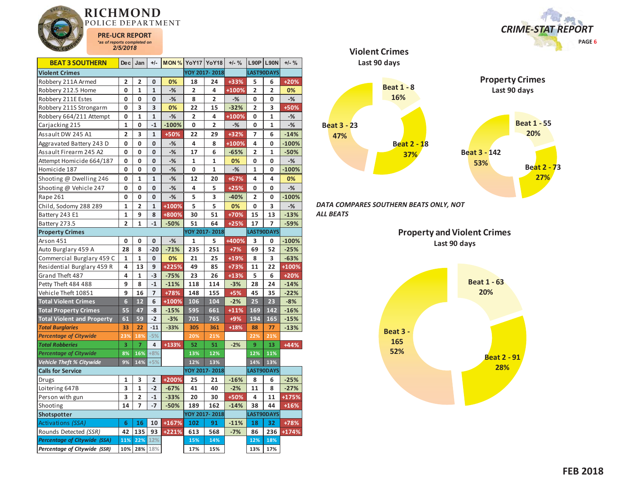

| <b>BEAT 3 SOUTHERN</b>            | De c            | Jan            | $+/-$          | MON%    |              | YoY17 YoY18    | $+/-$ % | L90P                    | <b>L90N</b>  | $+/-$ % |
|-----------------------------------|-----------------|----------------|----------------|---------|--------------|----------------|---------|-------------------------|--------------|---------|
| <b>Violent Crimes</b>             |                 |                |                |         |              | YOY 2017-2018  |         |                         | LAST90DAYS   |         |
| Robbery 211A Armed                | 2               | 2              | 0              | 0%      | 18           | 24             | +33%    | 5                       | 6            | $+20%$  |
| Robbery 212.5 Home                | 0               | $\mathbf{1}$   | $\mathbf{1}$   | $-%$    | 2            | 4              | +100%   | $\overline{2}$          | 2            | 0%      |
| Robbery 211E Estes                | 0               | 0              | 0              | $-%$    | 8            | 2              | $-%$    | 0                       | 0            | $-%$    |
| Robbery 211S Strongarm            | 0               | 3              | 3              | 0%      | 22           | 15             | $-32%$  | 2                       | 3            | +50%    |
| Robbery 664/211 Attempt           | 0               | $\mathbf{1}$   | $\mathbf{1}$   | $-%$    | 2            | 4              | +100%   | 0                       | $\mathbf{1}$ | $-$ %   |
| Carjacking 215                    | $\mathbf{1}$    | 0              | $-1$           | $-100%$ | 0            | $\overline{2}$ | $-%$    | 0                       | $\mathbf{1}$ | $-$ %   |
| Assault DW 245 A1                 | 2               | 3              | 1              | $+50%$  | 22           | 29             | +32%    | 7                       | 6            | $-14%$  |
| Aggravated Battery 243 D          | 0               | 0              | 0              | $-%$    | 4            | 8              | +100%   | 4                       | 0            | $-100%$ |
| Assault Firearm 245 A2            | 0               | 0              | 0              | $-%$    | 17           | 6              | $-65%$  | 2                       | 1            | $-50%$  |
| Attempt Homicide 664/187          | 0               | 0              | 0              | $-%$    | 1            | 1              | 0%      | 0                       | 0            | $-$ %   |
| Homicide 187                      | 0               | 0              | 0              | $-$ %   | 0            | 1              | $-%$    | $\mathbf{1}$            | 0            | $-100%$ |
| Shooting @ Dwelling 246           | 0               | 1              | $\mathbf{1}$   | $-%$    | 12           | 20             | +67%    | 4                       | 4            | 0%      |
| Shooting @ Vehicle 247            | 0               | 0              | 0              | $-$ %   | 4            | 5              | $+25%$  | 0                       | 0            | $-$ %   |
| Rape 261                          | 0               | 0              | 0              | $-%$    | 5            | 3              | $-40%$  | $\overline{\mathbf{2}}$ | 0            | $-100%$ |
| Child, Sodomy 288 289             | 1               | $\overline{2}$ | $\mathbf{1}$   | +100%   | 5            | 5              | 0%      | 0                       | 3            | $-$ %   |
| Battery 243 E1                    | $\mathbf{1}$    | 9              | 8              | +800%   | 30           | 51             | +70%    | 15                      | 13           | $-13%$  |
| Battery 273.5                     | $\overline{2}$  | $\mathbf{1}$   | $-1$           | $-50%$  | 51           | 64             | $+25%$  | 17                      | 7            | $-59%$  |
| <b>Property Crimes</b>            |                 |                |                |         |              | YOY 2017-2018  |         |                         | LAST90DAYS   |         |
| Arson 451                         | 0               | 0              | 0              | $-%$    | $\mathbf{1}$ | 5              | +400%   | 3                       | 0            | $-100%$ |
| Auto Burglary 459 A               | 28              | 8              | $-20$          | $-71%$  | 235          | 251            | $+7%$   | 69                      | 52           | $-25%$  |
| Commercial Burglary 459 C         | 1               | 1              | 0              | 0%      | 21           | 25             | $+19%$  | 8                       | 3            | $-63%$  |
| Residential Burglary 459 R        | 4               | 13             | 9              | +225%   | 49           | 85             | +73%    | 11                      | 22           | +100%   |
| Grand Theft 487                   | 4               | 1              | $-3$           | $-75%$  | 23           | 26             | $+13%$  | 5                       | 6            | +20%    |
| Petty Theft 484 488               | 9               | 8              | $-1$           | $-11%$  | 118          | 114            | $-3%$   | 28                      | 24           | $-14%$  |
| Vehicle Theft 10851               | 9               | 16             | $\overline{7}$ | +78%    | 148          | 155            | $+5%$   | 45                      | 35           | $-22%$  |
| <b>Total Violent Crimes</b>       | $6\overline{6}$ | 12             | 6              | +100%   | 106          | 104            | $-2%$   | 25                      | 23           | $-8%$   |
| <b>Total Property Crimes</b>      | 55              | 47             | -8             | $-15%$  | 595          | 661            | $+11%$  | 169                     | 142          | $-16%$  |
| <b>Total Violent and Property</b> | 61              | 59             | $-2$           | $-3%$   | 701          | 765            | $+9%$   | 194                     | 165          | $-15%$  |
| <b>Total Burglaries</b>           | 33              | 22             | $-11$          | $-33%$  | 305          | 361            | $+18%$  | 88                      | 77           | $-13%$  |
| <b>Percentage of Citywide</b>     | 23%             | 18%            | $-5%$          |         | 20%          | 21%            |         | 22%                     | 21%          |         |
| <b>Total Robberies</b>            | 3               | 7              | 4              | +133%   | 52           | 51             | $-2%$   | 9                       | 13           | $+44%$  |
| <b>Percentage of Citywide</b>     | 8%              | 16%            | $+8%$          |         | 13%          | 12%            |         | 12%                     | 11%          |         |
| <b>Vehicle Theft % Citywide</b>   | 9%              | 14%            | $+5%$          |         | 12%          | 13%            |         | 14%                     | 13%          |         |
| <b>Calls for Service</b>          |                 |                |                |         |              | YOY 2017-2018  |         |                         | LAST90DAYS   |         |
| Drugs                             | 1               | 3              | $\overline{2}$ | +200%   | 25           | 21             | $-16%$  | 8                       | 6            | $-25%$  |
| Loitering 647B                    | 3               | 1              | $-2$           | $-67%$  | 41           | 40             | $-2%$   | 11                      | 8            | $-27%$  |
| Person with gun                   | 3               | $\overline{2}$ | $-1$           | $-33%$  | 20           | 30             | +50%    | 4                       | 11           | +175%   |
| Shooting                          | 14              | 7              | $-7$           | $-50%$  | 189          | 162            | $-14%$  | 38                      | 44           | $+16%$  |
| Shotspotter                       |                 |                |                |         |              | YOY 2017-2018  |         |                         | LAST90DAYS   |         |
| Activations (SSA)                 | 6               | 16             | 10             | +167%   | 102          | 91             | $-11%$  | 18                      | 32           | +78%    |
| Rounds Detected (SSR)             | 42              | 135            | 93             | +221%   | 613          | 568            | $-7%$   | 86                      | 236          | $+174%$ |
| Percentage of Citywide (SSA)      | 11%             | 22%            | 12%            |         | 15%          | 14%            |         | 12%                     | 18%          |         |
| Percentage of Citywide (SSR)      | 10%             | 28%            | 18%            |         | 17%          | 15%            |         | 13%                     | 17%          |         |





*DATA COMPARES SOUTHERN BEATS ONLY, NOT ALL BEATS* 

**Violent Crimes**

**Property and Violent Crimes Last 90 days**

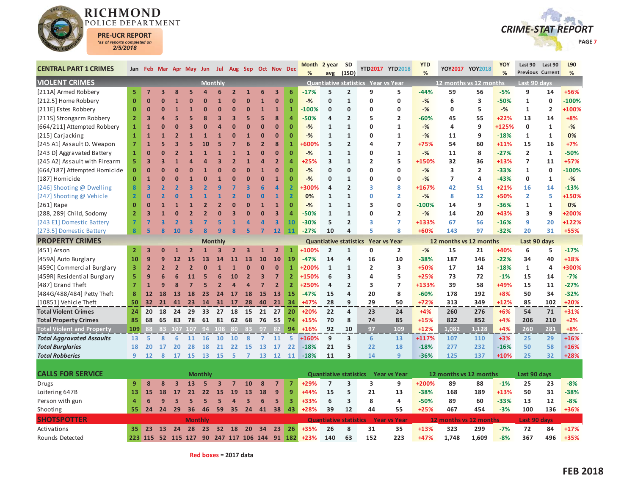



| <b>CENTRAL PART 1 CRIMES</b>      |                | Jan Feb Mar Apr May Jun Jul |                |                          |                         |                         |                         |                         |                         | Aug Sep Oct Nov Dec     |                         |                         | <b>Month</b> | 2 year                        | <b>SD</b>               |                                     | YTD2017 YTD2018     | <b>YTD</b> |                        | YOY2017 YOY2018 | <b>YOY</b> | Last 90                 | Last 90        | L90     |
|-----------------------------------|----------------|-----------------------------|----------------|--------------------------|-------------------------|-------------------------|-------------------------|-------------------------|-------------------------|-------------------------|-------------------------|-------------------------|--------------|-------------------------------|-------------------------|-------------------------------------|---------------------|------------|------------------------|-----------------|------------|-------------------------|----------------|---------|
|                                   |                |                             |                |                          |                         |                         |                         |                         |                         |                         |                         |                         | %            | avg                           | (1SD)                   |                                     |                     | %          |                        |                 | %          | <b>Previous Current</b> |                | %       |
| <b>VIOLENT CRIMES</b>             |                |                             |                |                          |                         |                         | <b>Monthly</b>          |                         |                         |                         |                         |                         |              |                               |                         | Quantiative statistics Year vs Year |                     |            | 12 months vs 12 months |                 |            | Last 90 days            |                |         |
| [211A] Armed Robbery              | 5              | $\overline{7}$              | 3              |                          |                         | Δ                       | 6                       | $\overline{2}$          | $\mathbf{1}$            | 6                       | $\overline{\mathbf{3}}$ | 6                       | $-17%$       | 5                             | $\overline{2}$          | 9                                   | 5                   | $-44%$     | 59                     | 56              | $-5%$      | 9                       | 14             | +56%    |
| [212.5] Home Robbery              | $\mathbf{0}$   | $\Omega$                    | ŋ              |                          | n                       | Ω                       | $\mathbf{1}$            | $\Omega$                | $\Omega$                | $\overline{1}$          | $\mathbf{0}$            | $\overline{0}$          | $-$ %        | $\mathbf{0}$                  | $\mathbf{1}$            | $\mathbf 0$                         | $\mathbf 0$         | $-$ %      | 6                      | 3               | $-50%$     | $\mathbf{1}$            | $\mathbf 0$    | $-100%$ |
| [211E] Estes Robbery              | $\overline{0}$ | $\mathbf{0}$                | ŋ              |                          |                         | $\Omega$                | $\Omega$                | $\mathbf{0}$            | $\overline{0}$          | $\overline{1}$          | $\mathbf{1}$            |                         | $-100%$      | $\mathbf{0}$                  | $\Omega$                | 0                                   | 0                   | $-$ %      | $\mathbf 0$            | 5               | $-$ %      | $\mathbf{1}$            | $\overline{2}$ | +100%   |
| [211S] Strongarm Robbery          | $\overline{2}$ | 3                           |                |                          |                         | 8                       | 3                       | $\overline{\mathbf{3}}$ | 5                       | 5                       | 8                       | Δ                       | -50%         | 4                             | $\overline{2}$          | 5                                   | $\overline{2}$      | $-60%$     | 45                     | 55              | $+22%$     | 13                      | 14             | $+8%$   |
| [664/211] Attempted Robbery       | $\mathbf{1}$   | $\mathbf{1}$                | በ              |                          |                         |                         | Z                       | $\overline{0}$          | $\Omega$                | $\overline{0}$          | $\mathbf{0}$            | $\overline{0}$          | $-$ %        | $\mathbf{1}$                  | $\mathbf{1}$            | $\mathbf{0}$                        | $\mathbf{1}$        | $-$ %      | 4                      | 9               | +125%      | $\mathbf{0}$            | $\mathbf{1}$   | $-$ %   |
| [215] Carjacking                  | 1              | $\mathbf{1}$                |                |                          |                         |                         | $\mathbf{1}$            | $\mathbf{0}$            | $\mathbf{1}$            | $\overline{0}$          | $\mathbf{0}$            | O                       | $-$ %        | $\mathbf{1}$                  | $\mathbf{1}$            | 0                                   | $\mathbf{1}$        | $-$ %      | 11                     | 9               | $-18%$     | $\mathbf{1}$            | $\mathbf{1}$   | 0%      |
| [245 A1] Assault D. Weapon        | $\overline{7}$ | $\overline{1}$              | 5              |                          |                         | 10                      | 5                       | 7                       | 6                       | $\overline{2}$          | 8                       | $\overline{1}$          | 600%         | 5                             | $\overline{2}$          | 4                                   | $\overline{7}$      | $+75%$     | 54                     | 60              | $+11%$     | 15                      | 16             | $+7%$   |
| [243 D] Aggravated Battery        | $\mathbf{1}$   | $\mathbf{0}$                | U              |                          |                         |                         | $\overline{1}$          | $\mathbf{1}$            | $\overline{1}$          | $\overline{0}$          | $\mathbf{0}$            | Ō                       | $-%$         | $\mathbf{1}$                  | $\mathbf{1}$            | 0                                   | $\mathbf{1}$        | $-$ %      | 11                     | 8               | $-27%$     | $\overline{2}$          | $\mathbf{1}$   | $-50%$  |
| [245 A2] Assault with Firearm     | 5              | 3                           | R              |                          |                         |                         | E                       | $\overline{2}$          | $\mathbf{1}$            | $\overline{a}$          | $\overline{2}$          | Δ                       | +25%         | 3                             | 1                       | $\overline{2}$                      | 5                   | +150%      | 32                     | 36              | $+13%$     | $\overline{7}$          | 11             | $+57%$  |
| [664/187] Attempted Homicide      | $\overline{0}$ | $\overline{0}$              |                |                          | $\Omega$                |                         | $\Omega$                | $\Omega$                | $\Omega$                | $\overline{1}$          | $\mathbf{0}$            | $\overline{0}$          | $-$ %        | $\mathbf{0}$                  | $\Omega$                | $\mathbf{0}$                        | $\Omega$            | $-%$       | 3                      | $\overline{2}$  | $-33%$     | $\mathbf{1}$            | $\mathbf 0$    | $-100%$ |
| [187] Homicide                    | $\mathbf 0$    | $\mathbf{1}$                | U              |                          |                         |                         | $\mathbf{1}$            | $\Omega$                | $\overline{0}$          | $\overline{0}$          | $\mathbf{1}$            | 0                       | $-$ %        | 0                             | $\mathbf{1}$            | $\mathbf 0$                         | 0                   | $-%$       | $\overline{7}$         | 4               | $-43%$     | 0                       | 1              | $-%$    |
| [246] Shooting @ Dwelling         | 8              | $\overline{\mathbf{3}}$     |                |                          |                         |                         | q                       | 7                       | $\overline{\mathbf{3}}$ | 6                       | $\overline{a}$          | $\overline{2}$          | 300%         | 4                             | $\overline{2}$          | 3                                   | 8                   | +167%      | 42                     | 51              | $+21%$     | 16                      | 14             | $-13%$  |
| [247] Shooting @ Vehicle          | $\overline{2}$ | $\mathbf{0}$                |                |                          |                         |                         |                         | $\overline{\mathbf{z}}$ | $\overline{0}$          | $\bf{0}$                | 1                       | $\overline{2}$          | 0%           | $\mathbf{1}$                  | 1                       | $\mathbf 0$                         | $\overline{2}$      | $-$ %      | 8                      | 12              | +50%       | $\overline{2}$          | 5              | +150%   |
| $[261]$ Rape                      | $\mathbf{0}$   | $\Omega$                    |                |                          |                         |                         | $\overline{2}$          | $\Omega$                | $\Omega$                | $\mathbf{1}$            | $\mathbf{1}$            | $\overline{0}$          | $-$ %        | $\mathbf{1}$                  | $\mathbf{1}$            | 3                                   | $\mathbf{0}$        | $-100%$    | 14                     | 9               | $-36%$     | 1                       | 1              | 0%      |
| [288, 289] Child, Sodomy          | $\overline{2}$ | 3                           |                |                          |                         |                         | ſ                       | 3                       | $\Omega$                | $\overline{0}$          | 3                       | 4                       | $-50%$       | $\mathbf{1}$                  | $\mathbf{1}$            | $\mathbf 0$                         | $\overline{2}$      | $-%$       | 14                     | 20              | +43%       | 3                       | 9              | +200%   |
| [243 E1] Domestic Battery         | 7              | 7                           | ٩              | $\overline{\phantom{a}}$ | $\overline{\mathbf{z}}$ |                         | 5                       | $\mathbf{1}$            | $\overline{a}$          | $\overline{a}$          | 3                       | 10                      | $-30%$       | 5                             | $\overline{2}$          | 3                                   | $\overline{7}$      | +133%      | 67                     | 56              | $-16%$     | 9                       | 20             | +122%   |
| [273.5] Domestic Battery          | 8              | 5                           | Ŕ              | 10                       | 6                       | $\overline{\mathbf{R}}$ | q                       | $\mathbf{R}$            | 5                       | $\overline{7}$          | 12                      | 11                      | $-27%$       | 10                            | 4                       | ς                                   | 8                   | +60%       | 143                    | 97              | $-32%$     | 20                      | 31             | +55%    |
| <b>PROPERTY CRIMES</b>            |                |                             |                |                          |                         |                         | <b>Monthly</b>          |                         |                         |                         |                         |                         |              | <b>Quantiative statistics</b> |                         | <b>Year vs Year</b>                 |                     |            | 12 months vs 12 months |                 |            | Last 90 days            |                |         |
| [451] Arson                       | $\overline{2}$ | 3                           | 0              |                          |                         |                         |                         | 2                       | $\overline{\mathbf{3}}$ | 1                       | $\overline{2}$          | $\overline{1}$          | +100%        | $\overline{2}$                | $\mathbf{1}$            | 0                                   | $\overline{2}$      | $-%$       | 15                     | 21              | +40%       | 6                       | 5              | $-17%$  |
| [459A] Auto Burglary              | 10             | 9                           | q              | 12                       | 15                      | 13                      | 14                      | 11                      | 13                      | 10                      | 10                      | 19                      | $-47%$       | 14                            | $\overline{\mathbf{4}}$ | 16                                  | 10                  | $-38%$     | 187                    | 146             | $-22%$     | 34                      | 40             | +18%    |
| [459C] Commercial Burglary        | 3              | $\overline{2}$              | $\overline{2}$ |                          |                         | $\Omega$                |                         |                         | $\overline{0}$          | $\overline{0}$          | $\mathbf{0}$            | $\overline{1}$          | +200%        | $\mathbf{1}$                  | $\mathbf{1}$            | $\overline{2}$                      | 3                   | +50%       | 17                     | 14              | $-18%$     | $\mathbf{1}$            | 4              | +300%   |
| [459R] Residential Burglary       | 5              | 9                           | հ              |                          | 11                      | 5                       | 6                       | 10                      | $\overline{2}$          | $\overline{\mathbf{3}}$ | $\overline{7}$          | $\overline{2}$          | +150%        | 6                             | 3                       | 4                                   | 5                   | $+25%$     | 73                     | 72              | $-1%$      | 15                      | 14             | $-7%$   |
| [487] Grand Theft                 | $\overline{7}$ | $\mathbf{1}$                | 9              |                          |                         | 5                       | $\overline{\mathbf{z}}$ | $\overline{a}$          | $\overline{a}$          | $\overline{7}$          | $\overline{2}$          | $\overline{2}$          | +250%        | 4                             | $\overline{2}$          | 3                                   | $\overline{7}$      | +133%      | 39                     | 58              | +49%       | 15                      | 11             | $-27%$  |
| [484G/488/484] Petty Theft        | 8              | 12                          | 18             | 13                       | 18                      | 23                      | 24                      | 17                      | 18                      | 15                      | 13                      | <b>15</b>               | $-47%$       | 15                            | 4                       | 20                                  | 8                   | $-60%$     | 178                    | 192             | $+8%$      | 50                      | 34             | $-32%$  |
| [10851] Vehicle Theft             | 50             | 32                          | 21             | 41                       | 23                      |                         | 14 31 17                |                         | 28                      | 40                      | 21                      | 34                      | $+47%$       | 28                            | 9                       | 29                                  | 50                  | $+72%$     | 313                    | 349             | $+12%$     | 85                      | 102            | $+20%$  |
| <b>Total Violent Crimes</b>       | 24             | 20                          | 18             | 24                       | 29                      | 33                      | 27                      | 18                      | 15                      | 21                      | 27                      | 20                      | $+20%$       | 22                            | 4                       | 23                                  | 24                  | $+4%$      | 260                    | 276             | $+6%$      | 54                      | 71             | +31%    |
| <b>Total Property Crimes</b>      | 85             | 68                          | 65             | 83                       | 78                      | 61                      | 81                      | 62                      | 68                      | 76                      | 55                      | 74                      | $+15%$       | 70                            | 8                       | 74                                  | 85                  | $+15%$     | 822                    | 852             | $+4%$      | 206                     | 210            | $+2%$   |
| <b>Total Violent and Property</b> | 109            |                             | 83             |                          | 107 107                 |                         | 94 108                  | -80                     | 83                      | 97                      | 82                      | 94                      | $+16%$       | 92                            | 10                      | 97                                  | 109                 | $+12%$     | 1.082                  | 1.128           | $+4%$      | 260                     | 281            | $+8%$   |
| <b>Total Aggravated Assaults</b>  | 13             | 5                           | 8              | 6                        | 11                      | 16                      | 10                      | 10                      | 8                       | $\overline{7}$          | 11                      | 5                       | +160%        | 9                             | 3                       | 6                                   | 13                  | +117%      | 107                    | 110             | $+3%$      | 25                      | 29             | $+16%$  |
| <b>Total Burglaries</b>           | 18             | 20                          | 17             | 20                       | 28                      | 18                      | 21                      | 22                      | 15                      | 13                      | 17                      | 22                      | $-18%$       | 21                            | 5                       | 22                                  | 18                  | $-18%$     | 277                    | 232             | $-16%$     | 50                      | 58             | $+16%$  |
| <b>Total Robberies</b>            | 9              | 12                          | 8              | 17                       | 15                      | <b>13</b>               | <b>15</b>               | 5                       | $\overline{7}$          | 13                      | 12                      | <b>11</b>               | $-18%$       | 11                            | 3                       | 14                                  | 9                   | $-36%$     | 125                    | 137             | $+10%$     | 25                      | 32             | +28%    |
|                                   |                |                             |                |                          |                         |                         |                         |                         |                         |                         |                         |                         |              |                               |                         |                                     |                     |            |                        |                 |            |                         |                |         |
| <b>CALLS FOR SERVICE</b>          |                |                             |                |                          |                         | <b>Monthly</b>          |                         |                         |                         |                         |                         |                         |              | <b>Quantiative statistics</b> |                         |                                     | <b>Year vs Year</b> |            | 12 months vs 12 months |                 |            | Last 90 days            |                |         |
| <b>Drugs</b>                      | 9              | 8                           | 8              | $\overline{\mathbf{3}}$  | 13                      | 5                       | $\overline{\mathbf{3}}$ | $\overline{7}$          | 10                      | 8                       | $\overline{7}$          | 7                       | +29%         | $\overline{7}$                | 3                       | 3                                   | 9                   | +200%      | 89                     | 88              | $-1%$      | 25                      | 23             | $-8%$   |
| Loitering 647B                    | 13             | 15                          | 18             | 17                       | 21                      | 22                      | 15                      | 19                      | 13                      | 18                      | 9                       | 9                       | $+44%$       | 15                            | 5                       | 21                                  | 13                  | $-38%$     | 168                    | 189             | +13%       | 50                      | 31             | $-38%$  |
| Person with gun                   | 4              | 6                           | 9              | 5                        | 5                       | 5                       | 5                       | $\overline{a}$          | $\overline{3}$          | $6\phantom{1}6$         | 5                       | $\overline{\mathbf{3}}$ | +33%         | 6                             | 3                       | 8                                   | $\overline{a}$      | $-50%$     | 89                     | 60              | $-33%$     | 13                      | 12             | $-8%$   |
| Shooting                          | 55             | 24                          | 24             | 29                       | 36                      | 46                      | 59                      | 35                      | 24                      | 41                      | 38                      | 43                      | +28%         | 39                            | 12                      | 44                                  | 55                  | $+25%$     | 467                    | 454             | $-3%$      | 100                     | 136            | +36%    |
| <b>SHOTSPOTTER</b>                |                |                             |                |                          |                         | Monthly                 |                         |                         |                         |                         |                         |                         |              | <b>Quantiative statistics</b> |                         |                                     | <b>Year vs Year</b> |            | 12 months vs 12 months |                 |            | Last 90 days            |                |         |
| Activations                       | 35             | 23                          | 13             | 24                       | 28                      | 23                      | 32 <sub>2</sub>         | <b>18</b>               | 20                      | 34                      | 23                      | 26                      | +35%         | 26                            | 8                       | 31                                  | 35                  | $+13%$     | 323                    | 299             | $-7%$      | 72                      | 84             | $+17%$  |
| Rounds Detected                   |                | 223 115 52 115 127          |                |                          |                         |                         |                         |                         |                         | 90 247 117 106 144 91   |                         | $182$                   | $+23%$       | 140                           | 63                      | 152                                 | 223                 | +47%       | 1.748                  | 1.609           | $-8%$      | 367                     | 496            | +35%    |

**Red boxes = 2017 data**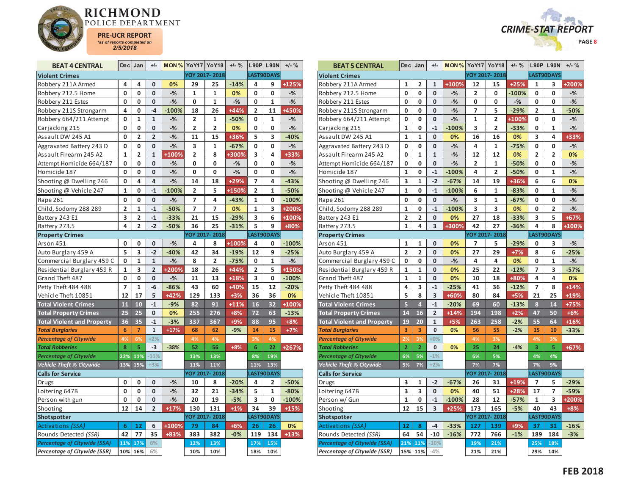



| <b>BEAT 4 CENTRAL</b>               |                | $Dec$ Jan      | $+/-$          |         | <b>MON % YoY17 YoY18</b> |                | $+/-$ % |                | L90P L90N    | $+/-$ % |
|-------------------------------------|----------------|----------------|----------------|---------|--------------------------|----------------|---------|----------------|--------------|---------|
| <b>Violent Crimes</b>               |                |                |                |         |                          | YOY 2017-2018  |         |                | LAST90DAYS   |         |
| Robbery 211A Armed                  | 4              | 4              | 0              | 0%      | 29                       | 25             | $-14%$  | 4              | 9            | +125%   |
| Robbery 212.5 Home                  | 0              | 0              | 0              | $-%$    | 1                        | 1              | 0%      | 0              | 0            | $-%$    |
| Robbery 211 Estes                   | 0              | 0              | 0              | $-$ %   | 0                        | $\mathbf{1}$   | $-$ %   | 0              | 1            | $-$ %   |
| Robbery 211S Strongarm              | 4              | 0              | $-4$           | $-100%$ | 18                       | 26             | $+44%$  | 2              | 11           | +450%   |
| Robbery 664/211 Attempt             | 0              | $\mathbf{1}$   | $\mathbf{1}$   | $-%$    | $\overline{\mathbf{2}}$  | 1              | $-50%$  | 0              | $\mathbf{1}$ | -%      |
| Carjacking 215                      | 0              | 0              | 0              | $-$ %   | $\overline{2}$           | $\overline{2}$ | 0%      | 0              | 0            | $-%$    |
| Assault DW 245 A1                   | 0              | $\overline{2}$ | $\overline{2}$ | $-%$    | 11                       | 15             | +36%    | 5              | 3            | $-40%$  |
| Aggravated Battery 243 D            | 0              | 0              | 0              | $-$ %   | 3                        | $\mathbf{1}$   | $-67%$  | 0              | 0            | $-$ %   |
| Assault Firearm 245 A2              | 1              | 2              | $\mathbf{1}$   | +100%   | $\overline{\mathbf{c}}$  | 8              | +300%   | 3              | 4            | $+33%$  |
| Attempt Homicide 664/187            | 0              | 0              | 0              | $-%$    | 0                        | 0              | $-%$    | 0              | 0            | $-$ %   |
| Homicide 187                        | 0              | 0              | 0              | -%      | 0                        | 0              | $-%$    | 0              | 0            | $-%$    |
| Shooting @ Dwelling 246             | 0              | 4              | 4              | $-%$    | 14                       | 18             | +29%    | 7              | 4            | $-43%$  |
| Shooting @ Vehicle 247              | $\mathbf{1}$   | 0              | $-1$           | $-100%$ | $\overline{2}$           | 5              | +150%   | $\overline{2}$ | $\mathbf{1}$ | $-50%$  |
| Rape 261                            | 0              | 0              | 0              | $-%$    | 7                        | 4              | $-43%$  | 1              | 0            | $-100%$ |
| Child, Sodomy 288 289               | $\overline{2}$ | $\mathbf{1}$   | $-1$           | $-50%$  | 7                        | 7              | 0%      | $\mathbf{1}$   | 3            | +200%   |
| Battery 243 E1                      | 3              | 2              | $-1$           | $-33%$  | 21                       | 15             | $-29%$  | 3              | 6            | +100%   |
| Battery 273.5                       | 4              | $\overline{2}$ | $-2$           | $-50%$  | 36                       | 25             | $-31%$  | 5              | 9            | +80%    |
| <b>Property Crimes</b>              |                |                |                |         |                          | YOY 2017-2018  |         |                | LAST90DAYS   |         |
| Arson 451                           | 0              | 0              | 0              | $-%$    | 4                        | 8              | +100%   | 4              | 0            | $-100%$ |
| Auto Burglary 459 A                 | 5              | 3              | $-2$           | $-40%$  | 42                       | 34             | $-19%$  | 12             | 9            | $-25%$  |
| Commercial Burglary 459 C           | 0              | $\mathbf{1}$   | $\mathbf{1}$   | $-%$    | 8                        | 2              | $-75%$  | 0              | 1            | $-%$    |
| Residential Burglary 459 R          | $\mathbf{1}$   | 3              | $\overline{2}$ | +200%   | 18                       | 26             | $+44%$  | $\overline{2}$ | 5            | +150%   |
| Grand Theft 487                     | 0              | 0              | 0              | $-%$    | 11                       | 13             | +18%    | 3              | 0            | $-100%$ |
| Petty Theft 484 488                 | 7              | $\mathbf{1}$   | $-6$           | $-86%$  | 43                       | 60             | +40%    | 15             | 12           | $-20%$  |
| Vehicle Theft 10851                 | 12             | 17             | 5              | $+42%$  | 129                      | 133            | $+3%$   | 36             | 36           | 0%      |
| <b>Total Violent Crimes</b>         | 11             | 10             | $-1$           | $-9%$   | 82                       | 91             | $+11%$  | 16             | 32           | +100%   |
| <b>Total Property Crimes</b>        | 25             | 25             | 0              | 0%      | 255                      | 276            | $+8%$   | 72             | 63           | $-13%$  |
| <b>Total Violent and Property</b>   | 36             | 35             | $-1$           | $-3%$   | 337                      | 367            | +9%     | 88             | 95           | $+8%$   |
| <b>Total Burglaries</b>             | 6              | $\overline{7}$ | $\mathbf 1$    | $+17%$  | 68                       | 62             | $-9%$   | 14             | 15           | $+7%$   |
| <b>Percentage of Citywide</b>       | 4%             | 6%             | $+2%$          |         | 4%                       | 4%             |         | 3%             | 4%           |         |
| <b>Total Robberies</b>              | 8              | 5              | $-3$           | $-38%$  | 52                       | 56             | $+8%$   | 6              | 22           | +267%   |
| <b>Percentage of Citywide</b>       | 22%            | 11%            | $-11%$         |         | 13%                      | 13%            |         | 8%             | 19%          |         |
| Vehicle Theft % Citywide            | 13%            | 15%            | $+3%$          |         | 11%                      | 11%            |         | 11%            | 13%          |         |
| <b>Calls for Service</b>            |                |                |                |         |                          | YOY 2017-2018  |         |                | LAST90DAYS   |         |
| Drugs                               | 0              | 0              | 0              | $-%$    | 10                       | 8              | $-20%$  | 4              | 2            | $-50%$  |
| Loitering 647B                      | 0              | 0              | 0              | $-%$    | 32                       | 21             | $-34%$  | 5              | $\mathbf{1}$ | $-80%$  |
| Person with gun                     | 0              | 0              | 0              | $-$ %   | 20                       | 19             | $-5%$   | 3              | 0            | $-100%$ |
| Shooting                            | 12             | 14             | $\overline{2}$ | $+17%$  | 130                      | 131            | $+1%$   | 34             | 39           | $+15%$  |
| Shotspotter                         |                |                |                |         |                          | YOY 2017-2018  |         |                | LAST90DAYS   |         |
| Activations (SSA)                   | 6              | 12             | 6              | +100%   | 79                       | 84             | $+6%$   | 26             | 26           | 0%      |
| Rounds Detected (SSR)               | 42             | 77             | 35             | +83%    | 383                      | 382            | $-0%$   | 119            | 134          | $+13%$  |
| <b>Percentage of Citywide (SSA)</b> | 11%            | 17%            | 6%             |         | 12%                      | 13%            |         | 17%            | 15%          |         |
| Percentage of Citywide (SSR)        |                | 10% 16%        | 6%             |         | 10%                      | 10%            |         | 18%            | 10%          |         |

| <b>BEAT 5 CENTRAL</b>               | Dec            | Jan            | $+/-$          | <b>MON % YoY17 YoY18</b> |                |                | $+/-$ % |                | <b>L90P L90N</b> | $+/-$ % |
|-------------------------------------|----------------|----------------|----------------|--------------------------|----------------|----------------|---------|----------------|------------------|---------|
| <b>Violent Crimes</b>               |                |                |                |                          |                | YOY 2017-2018  |         | LAST90DAYS     |                  |         |
| Robbery 211A Armed                  | 1              | 2              | 1              | +100%                    | 12             | 15             | $+25%$  | 1              | 3                | +200%   |
| Robbery 212.5 Home                  | 0              | 0              | 0              | $-%$                     | $\overline{2}$ | 0              | $-100%$ | 0              | 0                | $-%$    |
| Robbery 211 Estes                   | 0              | 0              | 0              | $-%$                     | 0              | 0              | $-%$    | 0              | 0                | $-%$    |
| Robbery 211S Strongarm              | O              | $\mathbf 0$    | 0              | $-$ %                    | 7              | 5              | $-29%$  | $\overline{2}$ | $\mathbf{1}$     | $-50%$  |
| Robbery 664/211 Attempt             | 0              | 0              | 0              | $-%$                     | 1              | 2              | +100%   | 0              | 0                | $-%$    |
| Carjacking 215                      | $\mathbf{1}$   | $\mathbf{0}$   | $-1$           | $-100%$                  | 3              | $\overline{2}$ | $-33%$  | 0              | $\mathbf{1}$     | $-$ %   |
| Assault DW 245 A1                   | $\mathbf{1}$   | $\mathbf{1}$   | 0              | 0%                       | 16             | 16             | 0%      | 3              | 4                | +33%    |
| Aggravated Battery 243 D            | 0              | 0              | 0              | $-$ %                    | 4              | $\mathbf{1}$   | $-75%$  | 0              | 0                | $-$ %   |
| Assault Firearm 245 A2              | 0              | $\mathbf{1}$   | $\mathbf{1}$   | $-%$                     | 12             | 12             | 0%      | $\overline{2}$ | $\overline{2}$   | 0%      |
| Attempt Homicide 664/187            | 0              | 0              | 0              | $-$ %                    | 2              | 1              | $-50%$  | 0              | 0                | $-%$    |
| Homicide 187                        | $\mathbf{1}$   | 0              | $-1$           | $-100%$                  | 4              | $\overline{2}$ | $-50%$  | 0              | 1                | $-%$    |
| Shooting @ Dwelling 246             | 3              | 1              | $-2$           | $-67%$                   | 14             | 19             | +36%    | 6              | 6                | 0%      |
| Shooting @ Vehicle 247              | $\mathbf{1}$   | 0              | $-1$           | $-100%$                  | 6              | $\mathbf{1}$   | $-83%$  | 0              | $\mathbf{1}$     | $-$ %   |
| Rape 261                            | 0              | 0              | 0              | $-%$                     | 3              | 1              | $-67%$  | 0              | 0                | $-%$    |
| Child, Sodomy 288 289               | $\mathbf{1}$   | 0              | $-1$           | $-100%$                  | 3              | 3              | 0%      | 0              | $\overline{2}$   | $-$ %   |
| Battery 243 E1                      | $\overline{2}$ | $\overline{2}$ | 0              | 0%                       | 27             | 18             | $-33%$  | 3              | 5                | $+67%$  |
| Battery 273.5                       | 1              | 4              | 3              | +300%                    | 42             | 27             | $-36%$  | 4              | 8                | +100%   |
| <b>Property Crimes</b>              |                |                |                |                          |                | YOY 2017-2018  |         |                | LAST90DAYS       |         |
| Arson 451                           | 1              | $\mathbf{1}$   | 0              | 0%                       | 7              | 5              | $-29%$  | 0              | 3                | $-%$    |
| Auto Burglary 459 A                 | $\overline{2}$ | $\overline{2}$ | $\mathbf{0}$   | 0%                       | 27             | 29             | $+7%$   | 8              | 6                | $-25%$  |
| Commercial Burglary 459 C           | 0              | 0              | 0              | $-%$                     | 4              | 4              | 0%      | 0              | $\mathbf{1}$     | $-%$    |
| Residential Burglary 459 R          | $\mathbf{1}$   | $\mathbf{1}$   | 0              | 0%                       | 25             | 22             | $-12%$  | $\overline{7}$ | 3                | $-57%$  |
| Grand Theft 487                     | $\mathbf{1}$   | $\mathbf{1}$   | 0              | 0%                       | 10             | 18             | +80%    | 4              | 4                | 0%      |
| Petty Theft 484 488                 | 4              | 3              | $-1$           | $-25%$                   | 41             | 36             | $-12%$  | $\overline{7}$ | 8                | $+14%$  |
| Vehicle Theft 10851                 | 5              | 8              | 3              | +60%                     | 80             | 84             | $+5%$   | 21             | 25               | +19%    |
| <b>Total Violent Crimes</b>         | 5              | $\overline{4}$ | $-1$           | $-20%$                   | 69             | 60             | $-13%$  | 8              | 14               | +75%    |
| <b>Total Property Crimes</b>        | 14             | 16             | $\overline{2}$ | $+14%$                   | 194            | 198            | $+2%$   | 47             | 50               | $+6%$   |
| <b>Total Violent and Property</b>   | 19             | 20             | $\mathbf{1}$   | $+5%$                    | 263            | 258            | $-2%$   | 55             | 64               | $+16%$  |
| <b>Total Burglaries</b>             | 3              | 3              | 0              | 0%                       | 56             | 55             | $-2%$   | 15             | 10               | $-33%$  |
| <b>Percentage of Citywide</b>       | 2%             | 3%             | $+0%$          |                          | 4%             | 3%             |         | 4%             | 3%               |         |
| <b>Total Robberies</b>              | $\overline{2}$ | $\overline{2}$ | 0              | 0%                       | 25             | 24             | $-4%$   | 3              | 5                | +67%    |
| <b>Percentage of Citywide</b>       | 6%             | 5%             | $-1%$          |                          | 6%             | 5%             |         | 4%             | 4%               |         |
| <b>Vehicle Theft % Citywide</b>     | 5%             | 7%             | $+2%$          |                          | 7%             | 7%             |         | 7%             | 9%               |         |
| <b>Calls for Service</b>            |                |                |                |                          |                | YOY 2017-2018  |         |                | LAST90DAYS       |         |
| Drugs                               | 3              | $\mathbf{1}$   | $-2$           | $-67%$                   | 26             | 31             | +19%    | 7              | 5                | $-29%$  |
| Loitering 647B                      | 3              | 3              | 0              | 0%                       | 40             | 51             | $+28%$  | 17             | 7                | $-59%$  |
| Person w/ Gun                       | $\mathbf{1}$   | 0              | $-1$           | $-100%$                  | 28             | 12             | $-57%$  | $\mathbf{1}$   | 3                | +200%   |
| Shooting                            | 12             | 15             | 3              | $+25%$                   | 173            | 165            | $-5%$   | 40             | 43               | $+8%$   |
| Shotspotter                         |                |                |                |                          |                | YOY 2017-2018  |         |                | LAST90DAYS       |         |
| Activations (SSA)                   | 12             | 8              | $-4$           | $-33%$                   | 127            | 139            | +9%     | 37             | 31               | $-16%$  |
| Rounds Detected (SSR)               | 64             | 54             | $-10$          | $-16%$                   | 772            | 766            | $-1%$   | 189            | 184              | $-3%$   |
| Percentage of Citywide (SSA)        | 21%            | 11%            | $-10%$         |                          | 19%            | 21%            |         | 25%            | 18%              |         |
| <b>Percentage of Citywide (SSR)</b> | 15%            | 11%            | $-4%$          |                          | 21%            | 21%            |         | 29%            | 14%              |         |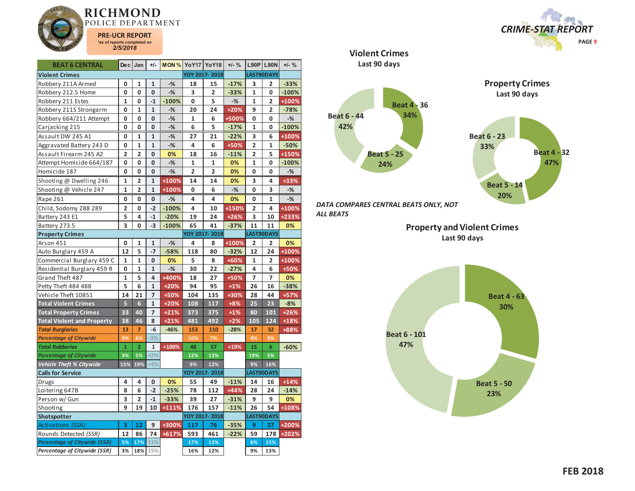



| <b>BEAT 6 CENTRAL</b>               | <b>Dec</b>              | Jan                     | $+/-$          |         | <b>MON % YoY17 YoY18</b> |                | $+/-$ % |                         | <b>L90P L90N</b> | $+/-$ % |
|-------------------------------------|-------------------------|-------------------------|----------------|---------|--------------------------|----------------|---------|-------------------------|------------------|---------|
| <b>Violent Crimes</b>               |                         |                         |                |         |                          | YOY 2017-2018  |         |                         | LAST90DAYS       |         |
| Robbery 211A Armed                  | 0                       | 1                       | $\mathbf{1}$   | $-%$    | 18                       | 15             | $-17%$  | 3                       | $\overline{2}$   | $-33%$  |
| Robbery 212.5 Home                  | $\mathbf 0$             | 0                       | 0              | $-%$    | 3                        | $\overline{2}$ | $-33%$  | 1                       | 0                | $-100%$ |
| Robbery 211 Estes                   | 1                       | 0                       | $-1$           | $-100%$ | 0                        | 5              | $-$ %   | 1                       | 2                | +100%   |
| Robbery 211S Strongarm              | 0                       | 1                       | $\mathbf{1}$   | $-%$    | 20                       | 24             | $+20%$  | 9                       | $\overline{2}$   | $-78%$  |
| Robbery 664/211 Attempt             | 0                       | 0                       | 0              | $-$ %   | $\mathbf{1}$             | 6              | +500%   | 0                       | 0                | $-%$    |
| Carjacking 215                      | 0                       | 0                       | 0              | $-%$    | 6                        | 5              | $-17%$  | 1                       | 0                | $-100%$ |
| Assault DW 245 A1                   | 0                       | 1                       | $\mathbf{1}$   | $-%$    | 27                       | 21             | $-22%$  | 3                       | 6                | +100%   |
| Aggravated Battery 243 D            | 0                       | $\mathbf{1}$            | $\mathbf{1}$   | $-%$    | 4                        | 6              | +50%    | $\overline{2}$          | $\mathbf{1}$     | $-50%$  |
| Assault Firearm 245 A2              | $\overline{2}$          | $\overline{2}$          | 0              | 0%      | 18                       | 16             | $-11%$  | $\overline{2}$          | 5                | +150%   |
| Attempt Homicide 664/187            | 0                       | 0                       | 0              | $-$ %   | $\mathbf{1}$             | 1              | 0%      | $\mathbf{1}$            | 0                | $-100%$ |
| Homicide 187                        | 0                       | 0                       | 0              | $-%$    | $\overline{2}$           | $\overline{2}$ | 0%      | 0                       | 0                | $-%$    |
| Shooting @ Dwelling 246             | $\mathbf{1}$            | $\overline{2}$          | $\mathbf{1}$   | +100%   | 14                       | 14             | 0%      | 3                       | 4                | +33%    |
| Shooting @ Vehicle 247              | $\mathbf{1}$            | $\overline{2}$          | $\mathbf{1}$   | +100%   | 0                        | 6              | $-%$    | 0                       | 3                | $-$ %   |
| Rape 261                            | 0                       | 0                       | 0              | $-$ %   | 4                        | 4              | 0%      | 0                       | $\mathbf{1}$     | $-$ %   |
| Child, Sodomy 288 289               | $\overline{\mathbf{c}}$ | 0                       | $-2$           | $-100%$ | 4                        | 10             | +150%   | $\overline{\mathbf{2}}$ | 4                | +100%   |
| Battery 243 E1                      | 5                       | 4                       | $-1$           | $-20%$  | 19                       | 24             | $+26%$  | 3                       | 10               | +233%   |
| Battery 273.5                       | 3                       | 0                       | $-3$           | $-100%$ | 65                       | 41             | $-37%$  | 11                      | 11               | 0%      |
| <b>Property Crimes</b>              |                         |                         |                |         |                          | YOY 2017-2018  |         |                         | LAST90DAYS       |         |
| Arson 451                           | $\mathbf{0}$            | $\mathbf{1}$            | $\mathbf{1}$   | $-%$    | 4                        | 8              | +100%   | $\overline{\mathbf{2}}$ | $\overline{2}$   | 0%      |
| Auto Burglary 459 A                 | 12                      | 5                       | $-7$           | $-58%$  | 118                      | 80             | $-32%$  | 12                      | 24               | +100%   |
| Commercial Burglary 459 C           | $\mathbf{1}$            | $\mathbf{1}$            | 0              | 0%      | 5                        | 8              | +60%    | $\mathbf{1}$            | $\overline{2}$   | $+100%$ |
| Residential Burglary 459 R          | 0                       | 1                       | $\mathbf 1$    | $-$ %   | 30                       | 22             | $-27%$  | 4                       | 6                | +50%    |
| Grand Theft 487                     | $\mathbf{1}$            | 5                       | 4              | +400%   | 18                       | 27             | +50%    | $\overline{7}$          | 7                | 0%      |
| Petty Theft 484 488                 | 5                       | 6                       | $\mathbf{1}$   | $+20%$  | 94                       | 95             | $+1%$   | 26                      | 16               | $-38%$  |
| Vehicle Theft 10851                 | 14                      | 21                      | $\overline{7}$ | +50%    | 104                      | 135            | +30%    | 28                      | 44               | $+57%$  |
| <b>Total Violent Crimes</b>         | 5                       | $6\phantom{a}$          | $\mathbf 1$    | $+20%$  | 108                      | 117            | $+8%$   | 25                      | 23               | $-8%$   |
| <b>Total Property Crimes</b>        | 33                      | 40                      | $\overline{7}$ | $+21%$  | 373                      | 375            | $+1%$   | 80                      | 101              | $+26%$  |
| <b>Total Violent and Property</b>   | 38                      | 46                      | 8              | $+21%$  | 481                      | 492            | $+2%$   | 105                     | 124              | $+18%$  |
| <b>Total Burglaries</b>             | 13                      | $\overline{7}$          | -6             | $-46%$  | 153                      | 110            | $-28%$  | 17                      | 32               | +88%    |
| <b>Percentage of Citywide</b>       | 9%                      | 6%                      | $-3%$          |         | 10%                      | 7%             |         | 4%                      | 9%               |         |
| <b>Total Robberies</b>              | $\mathbf{1}$            | $\overline{2}$          | $\mathbf{1}$   | $+100%$ | 48                       | 57             | $+19%$  | 15                      | 6                | $-60%$  |
| <b>Percentage of Citywide</b>       | 3%                      | 5%                      | $+2%$          |         | 12%                      | 13%            |         | 19%                     | 5%               |         |
| <b>Vehicle Theft % Citywide</b>     | 15%                     | 19%                     | $+4%$          |         | 9%                       | 12%            |         | 9%                      | 16%              |         |
| <b>Calls for Service</b>            |                         |                         |                |         |                          | YOY 2017-2018  |         |                         | LAST90DAYS       |         |
| Drugs                               | 4                       | 4                       | 0              | 0%      | 55                       | 49             | $-11%$  | 14                      | 16               | $+14%$  |
| Loitering 647B                      | 8                       | 6                       | $-2$           | $-25%$  | 78                       | 112            | $+44%$  | 28                      | 24               | $-14%$  |
| Person w/ Gun                       | 3                       | $\overline{\mathbf{2}}$ | $-1$           | $-33%$  | 39                       | 27             | $-31%$  | 9                       | 9                | 0%      |
| Shooting                            | 9                       | 19                      | 10             | +111%   | 176                      | 157            | $-11%$  | 26                      | 54               | +108%   |
| Shotspotter                         |                         |                         |                |         |                          | YOY 2017-2018  |         |                         | LAST90DAYS       |         |
| Activations (SSA)                   | 3                       | 12                      | 9              | +300%   | 117                      | 76             | $-35%$  | 9                       | 27               | +200%   |
| Rounds Detected (SSR)               | 12                      | 86                      | 74             | +617%   | 593                      | 461            | $-22%$  | 59                      | 178              | +202%   |
| <b>Percentage of Citywide (SSA)</b> | 5%                      | 17%                     | 11%            |         | 17%                      | 12%            |         | 6%                      | 15%              |         |
| Percentage of Citywide (SSR)        | 3%                      | 18%                     | 15%            |         | 16%                      | 12%            |         | 9%                      | 13%              |         |

**Violent CrimesLast 90 days**



*DATA COMPARES CENTRAL BEATS ONLY, NOT ALL BEATS* 

> **Property and Violent Crimes Last 90 days**

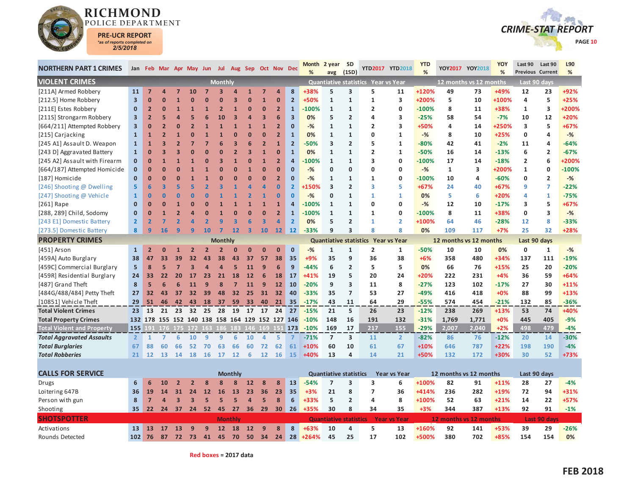



| <b>NORTHERN PART 1 CRIMES</b>     |                         |                |                |                         |                | Jan Feb Mar Apr May Jun Jul Aug Sep Oct Nov Dec |                          |                         |                         |                |                   |                         | <b>Month</b><br>% | 2 year                        | <b>SD</b><br>(1SD)      |                                     | YTD2017 YTD2018     | <b>YTD</b><br>% |                        | YOY2017 YOY2018        | YOY<br>% | Last 90<br><b>Previous Current</b> | Last 90        | L90<br>% |
|-----------------------------------|-------------------------|----------------|----------------|-------------------------|----------------|-------------------------------------------------|--------------------------|-------------------------|-------------------------|----------------|-------------------|-------------------------|-------------------|-------------------------------|-------------------------|-------------------------------------|---------------------|-----------------|------------------------|------------------------|----------|------------------------------------|----------------|----------|
| <b>VIOLENT CRIMES</b>             |                         |                |                |                         |                |                                                 | <b>Monthly</b>           |                         |                         |                |                   |                         |                   | avg                           |                         | Quantiative statistics Year vs Year |                     |                 |                        | 12 months vs 12 months |          |                                    | Last 90 days   |          |
| [211A] Armed Robbery              | 11                      | $\overline{7}$ |                |                         | 10             |                                                 |                          |                         |                         | 7              | z                 | 8                       | +38%              | 5                             | 3                       | 5                                   | 11                  | +120%           | 49                     | 73                     | +49%     | 12                                 | 23             | +92%     |
| [212.5] Home Robbery              | $\overline{\mathbf{3}}$ | $\bf{0}$       |                |                         |                |                                                 |                          |                         |                         | $\mathbf{1}$   | $\bf{0}$          | $\overline{2}$          | +50%              | $\mathbf{1}$                  | $\mathbf{1}$            | 1                                   | 3                   | +200%           | 5                      | 10                     | +100%    | 4                                  | 5              | $+25%$   |
| [211E] Estes Robbery              | 0                       | $\overline{2}$ | n              |                         |                |                                                 |                          |                         | О                       | $\mathbf{0}$   | $\overline{2}$    | $\overline{1}$          | $-100%$           | $\mathbf{1}$                  | $\mathbf{1}$            | $\overline{2}$                      | 0                   | $-100%$         | 8                      | 11                     | +38%     | 1                                  | 3              | +200%    |
| [211S] Strongarm Robbery          | 3                       | $\overline{2}$ |                |                         |                |                                                 | 10                       | $\overline{\mathbf{3}}$ | Δ                       | 3              | 6                 | $\overline{\mathbf{3}}$ | 0%                | 5                             | $\overline{2}$          | $\overline{a}$                      | 3                   | $-25%$          | 58                     | 54                     | $-7%$    | 10                                 | 12             | +20%     |
| [664/211] Attempted Robbery       | 3                       | $\mathbf{0}$   | $\overline{2}$ |                         |                |                                                 |                          |                         | $\overline{1}$          | $\overline{1}$ | $\overline{2}$    | $\Omega$                | $-$ %             | $\mathbf{1}$                  | $\mathbf{1}$            | $\overline{2}$                      | 3                   | +50%            | 4                      | 14                     | +250%    | 3                                  | 5              | $+67%$   |
| [215] Carjacking                  | $\mathbf{1}$            | 1              |                |                         |                |                                                 |                          |                         | О                       | $\mathbf{0}$   | $\overline{2}$    | $\mathbf{1}$            | 0%                | $\mathbf{1}$                  | $\mathbf{1}$            | 0                                   | 1                   | $-%$            | 8                      | 10                     | $+25%$   | 0                                  | 4              | $-%$     |
| [245 A1] Assault D. Weapon        | $\mathbf{1}$            | $\mathbf{1}$   |                |                         |                |                                                 |                          | В                       | 6                       | $\overline{2}$ | $\overline{1}$    | $\overline{2}$          | $-50%$            | 3                             | $\overline{2}$          | 5                                   | $\mathbf{1}$        | $-80%$          | 42                     | 41                     | $-2%$    | 11                                 | 4              | $-64%$   |
| [243 D] Aggravated Battery        | $\mathbf{1}$            | ŋ              |                |                         |                |                                                 |                          |                         | 3                       | $\mathbf{1}$   | $\Omega$          | $\mathbf{1}$            | 0%                | 1                             | $\mathbf{1}$            | $\overline{2}$                      | $\mathbf{1}$        | $-50%$          | 16                     | 14                     | $-13%$   | 6                                  | $\overline{2}$ | $-67%$   |
| [245 A2] Assault with Firearm     | $\mathbf 0$             | $\Omega$       |                |                         |                |                                                 |                          |                         |                         | $\overline{1}$ | $\overline{2}$    | $\overline{a}$          | $-100%$           | $\mathbf{1}$                  | $\mathbf{1}$            | $\overline{\mathbf{3}}$             | 0                   | $-100%$         | 17                     | 14                     | $-18%$   | $\overline{2}$                     | 6              | +200%    |
| [664/187] Attempted Homicide      | $\mathbf{0}$            | ŋ              |                |                         |                |                                                 |                          | ŋ                       |                         | $\overline{0}$ | $\Omega$          | $\Omega$                | $-$ %             | 0                             | $\Omega$                | $\Omega$                            | 0                   | $-$ %           | $\mathbf{1}$           | 3                      | +200%    | $\mathbf{1}$                       | 0              | $-100%$  |
| [187] Homicide                    | $\mathbf{0}$            | $\Omega$       | በ              |                         |                |                                                 |                          |                         | O                       | $\mathbf{0}$   | $\overline{2}$    | $\mathbf{0}$            | $-$ %             | $\mathbf{1}$                  | $\mathbf{1}$            | $\mathbf{1}$                        | 0                   | $-100%$         | 10                     | 4                      | $-60%$   | $\Omega$                           | $\overline{2}$ | $-$ %    |
| [246] Shooting @ Dwelling         | 5                       | 6              |                |                         |                |                                                 |                          |                         |                         |                | $\bf{0}$          | $\overline{2}$          | +150%             | 3                             | $\overline{2}$          | 3                                   | 5.                  | $+67%$          | 24                     | 40                     | $+67%$   | 9                                  | 7              | $-22%$   |
| [247] Shooting @ Vehicle          | $\mathbf{1}$            | $\overline{0}$ | 0              |                         |                |                                                 |                          |                         |                         | 1              | $\bf{0}$          | $\mathbf{0}$            | $-%$              | 0                             | 1                       | 1                                   | 1                   | 0%              | 5                      | 6                      | $+20%$   | 4                                  | 1              | $-75%$   |
| [261] Rape                        | $\mathbf{0}$            | n              |                |                         |                |                                                 |                          |                         |                         |                | $\overline{1}$    | $\Delta$                | $-100%$           | $\mathbf{1}$                  | $\mathbf{1}$            | 0                                   | 0                   | $-%$            | 12                     | 10                     | $-17%$   | 3                                  | 5              | +67%     |
| [288, 289] Child, Sodomy          | $\mathbf{0}$            | $\Omega$       |                |                         |                |                                                 |                          |                         |                         | $\overline{0}$ | $\overline{2}$    | $\mathbf{1}$            | $-100%$           | $\mathbf{1}$                  | $\mathbf{1}$            | 1                                   | 0                   | $-100%$         | 8                      | 11                     | +38%     | $\mathbf 0$                        | 3              | $-%$     |
| [243 E1] Domestic Battery         | $\overline{2}$          | $\overline{2}$ |                |                         |                |                                                 |                          | 3                       | ĥ                       | 3              | $\overline{a}$    | $\overline{2}$          | 0%                | 5                             | $\overline{2}$          | $\mathbf{1}$                        | $\overline{2}$      | +100%           | 64                     | 46                     | $-28%$   | 12                                 | 8              | $-33%$   |
| [273.5] Domestic Battery          | 8                       | $\overline{9}$ | 16             | q                       | q              | 10                                              | 7                        | $12$                    | $\overline{\mathbf{3}}$ | 10             | $12 \overline{ }$ | 12                      | $-33%$            | q                             | $\overline{\mathbf{3}}$ | $\mathbf{8}$                        | 8                   | 0%              | 109                    | 117                    | $+7%$    | 25                                 | 32             | +28%     |
| <b>PROPERTY CRIMES</b>            |                         |                |                |                         |                |                                                 | <b>Monthly</b>           |                         |                         |                |                   |                         |                   |                               |                         | Quantiative statistics Year vs Year |                     |                 | 12 months vs 12 months |                        |          | Last 90 days                       |                |          |
| [451] Arson                       | $\mathbf{1}$            |                |                |                         | $\overline{2}$ | $\overline{\mathbf{z}}$                         | $\overline{\phantom{a}}$ | $\Omega$                | $\mathbf{0}$            | $\Omega$       | $\mathbf{0}$      | $\mathbf{0}$            | $-$ %             | $\mathbf{1}$                  | $\mathbf{1}$            | $\overline{2}$                      | 1                   | $-50%$          | 10                     | 10                     | 0%       | $\mathbf 0$                        | 1              | $-$ %    |
| [459A] Auto Burglary              | 38                      | 47             | 33             | 39                      | 32             | 43                                              | 38                       | 43                      | 37                      | 57             | 38                | 35                      | +9%               | 35                            | 9                       | 36                                  | 38                  | $+6%$           | 358                    | 480                    | +34%     | 137                                | 111            | $-19%$   |
| [459C] Commercial Burglary        | 5                       | 8              | 5              |                         | 3              |                                                 | 4                        | 5                       | 11                      | 9              | 6                 | 9                       | $-44%$            | 6                             | $\overline{2}$          | 5                                   | 5                   | 0%              | 66                     | 76                     | $+15%$   | 25                                 | 20             | $-20%$   |
| [459R] Residential Burglary       | 24                      | 33             | 22             | 20                      | 17             | 23                                              | 21                       | 18                      | 12                      | $\overline{6}$ | 18                | 17                      | $+41%$            | 19                            | 5                       | 20                                  | 24                  | +20%            | 222                    | 231                    | $+4%$    | 36                                 | 59             | $+64%$   |
| [487] Grand Theft                 | 8                       | 5              | 6              |                         |                |                                                 | 8                        | 5                       | 11                      | g              | 12                | 10                      | $-20%$            | 9                             | 3                       | 11                                  | 8                   | $-27%$          | 123                    | 102                    | $-17%$   | 27                                 | 30             | $+11%$   |
| [484G/488/484] Petty Theft        | 27                      | 32             | 43             | 37                      | 32             | 39                                              | 48                       | 32                      | 25                      | 31             | 32                | 40                      | $-33%$            | 35                            | $\overline{7}$          | 53                                  | 27                  | $-49%$          | 416                    | 418                    | $+0%$    | 88                                 | 99             | $+13%$   |
| [10851] Vehicle Theft             | 29                      | 51             | 46             | 42                      | 43             | 18                                              | 37                       | 59                      | 33 <sup>3</sup>         | 40             | 21                | 35                      | $-17%$            | 43                            | 11                      | 64                                  | 29                  | $-55%$          | 574                    | 454                    | $-21%$   | 132                                | 85             | $-36%$   |
| <b>Total Violent Crimes</b>       | 23                      | 13             | 21             | 23                      | 32             | 25                                              | 28                       | 19                      | 17                      | 17             | 24                | 27                      | $-15%$            | 21                            | 5                       | 26                                  | 23                  | $-12%$          | 238                    | 269                    | $+13%$   | 53                                 | 74             | +40%     |
| <b>Total Property Crimes</b>      |                         |                |                |                         |                | 132 178 155 152 140 138 158 164 129 152 127 146 |                          |                         |                         |                |                   |                         | $-10%$            | 148                           | 16                      | 191                                 | 132                 | $-31%$          | 1,769                  | 1,771                  | $+0%$    | 445                                | 405            | $-9%$    |
| <b>Total Violent and Property</b> | 155                     |                |                |                         |                | 191 176 175 172 163 186 183 146 169             |                          |                         |                         |                |                   | 151 173                 | $-10%$            | 169                           | 17                      | 217                                 | 155                 | $-29%$          | 2.007                  | 2.040                  | $+2%$    | 498                                | 479            | $-4%$    |
| <b>Total Aggravated Assaults</b>  | $\overline{2}$          | $\mathbf{1}$   | $\mathbf{z}$   | 6                       | 10             | 9                                               | $\mathbf{q}$             | 6                       | 10                      | 4              | 5                 | $\overline{7}$          | $-71%$            | $\overline{7}$                | 3                       | 11                                  | $\overline{2}$      | $-82%$          | 86                     | 76                     | $-12%$   | 20                                 | 14             | $-30%$   |
| <b>Total Burglaries</b>           | 67                      | 88             | 60             | 66                      | 52             | 70                                              | 63                       | 66                      | 60                      | 72             | 62                | 61                      | $+10%$            | 60                            | 10                      | 61                                  | 67                  | $+10%$          | 646                    | 787                    | $+22%$   | 198                                | 190            | $-4%$    |
| <b>Total Robberies</b>            | 21                      | 12             | 13             | 14                      | 18             | <b>16</b>                                       | 17                       | 12                      | 6                       | 12             | 16                | 15                      | $+40%$            | 13                            | 4                       | 14                                  | 21                  | +50%            | 132                    | 172                    | +30%     | 30                                 | 52             | +73%     |
|                                   |                         |                |                |                         |                |                                                 |                          |                         |                         |                |                   |                         |                   |                               |                         |                                     |                     |                 |                        |                        |          |                                    |                |          |
| <b>CALLS FOR SERVICE</b>          |                         |                |                |                         |                |                                                 |                          | <b>Monthly</b>          |                         |                |                   |                         |                   | <b>Quantiative statistics</b> |                         |                                     | <b>Year vs Year</b> |                 | 12 months vs 12 months |                        |          | Last 90 days                       |                |          |
| Drugs                             | 6                       | 6              | 10             |                         |                |                                                 |                          |                         | 12                      | 8              | 8                 | 13                      | $-54%$            | $\overline{7}$                | 3                       | 3                                   | 6                   | +100%           | 82                     | 91                     | $+11%$   | 28                                 | 27             | $-4%$    |
| Loitering 647B                    | 36                      | 19             | 14             | 31                      | 24             | 12                                              | 16                       | 13                      | 23                      | 36             | 23                | 35                      | $+3%$             | 21                            | 8                       | $\overline{7}$                      | 36                  | +414%           | 236                    | 282                    | +19%     | 72                                 | 94             | $+31%$   |
| Person with gun                   | 8                       | 7              | $\overline{a}$ | $\overline{\mathbf{3}}$ | з              |                                                 |                          | 5                       | Δ                       | G              | 8                 | 6                       | $+33%$            | 5                             | $\overline{2}$          | $\overline{a}$                      | 8                   | +100%           | 52                     | 63                     | $+21%$   | 14                                 | 22             | +57%     |
| Shooting                          | 35                      | 22             | 24             | 37                      | 24             | 52 <sub>2</sub>                                 | 45                       | 27                      | 36                      | 29             | 30 <sup>1</sup>   | 26                      | $+35%$            | 30                            | 8                       | 34                                  | 35                  | $+3%$           | 344                    | 387                    | $+13%$   | 92                                 | 91             | $-1%$    |

**SHOTSPOTTER Monthly Monthly Quantiative statistics Year vs Year 12 months vs 12 months 12 months Last 90 days** 

Activations **13 13 17 13 9 9 12 18 12 9 8 8 +63%**Rounds Detected**102 76 87 72 73 41 45 70 50 34 24 28 +264%**

**Red boxes = 2017 data** 

**10 4 5 13 +160% 92 141 +53% 39 29 -26%**

**45 25 17 102 +500% 380 702 +85% 154 154 0%**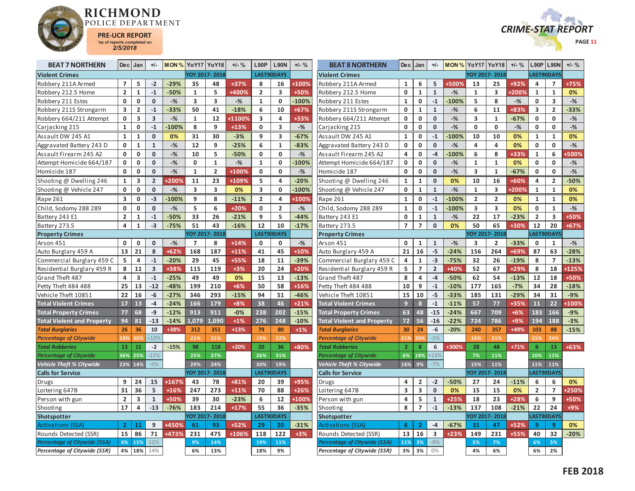



| <b>BEAT 7 NORTHERN</b>              |                | $Dec$ Jan               | $+/-$                   | <b>MON % YoY17 YoY18</b> |                |                         | $+/-$ % | <b>L90P</b>    | <b>L90N</b>             | $+/-$ %      | <b>BEAT 8 NORTHERN</b>            | De <sub>c</sub>         | Jan              | $+/-$                   | <b>MON % YoY17 YoY18</b> |                         |                         | $+/-$ %      | L90P           | <b>L90N</b>             | $+/-$ % |
|-------------------------------------|----------------|-------------------------|-------------------------|--------------------------|----------------|-------------------------|---------|----------------|-------------------------|--------------|-----------------------------------|-------------------------|------------------|-------------------------|--------------------------|-------------------------|-------------------------|--------------|----------------|-------------------------|---------|
| <b>Violent Crimes</b>               |                |                         |                         |                          | YOY 2017-2018  |                         |         |                | <b>LAST90DAYS</b>       |              | <b>Violent Crimes</b>             |                         |                  |                         |                          |                         | YOY 2017-2018           |              | LAST90DAYS     |                         |         |
| Robbery 211A Armed                  | $\overline{7}$ | 5                       | $-2$                    | $-29%$                   | 35             | 48                      | +37%    | 8              | 16                      | +100%        | Robbery 211A Armed                | $\mathbf{1}$            | 6                | 5                       | +500%                    | 13                      | 25                      | +92%         | 4              | $\overline{7}$          | +75%    |
| Robbery 212.5 Home                  | $\overline{2}$ | $\mathbf 1$             | $\mathbf{-1}$           | $-50%$                   | $\mathbf{1}$   | 5                       | +400%   | $\overline{2}$ | $\overline{\mathbf{3}}$ | +50%         | Robbery 212.5 Home                | $\mathbf 0$             | $\mathbf{1}$     | $\mathbf 1$             | $-%$                     | $\mathbf{1}$            | $\overline{\mathbf{3}}$ | <b>+200%</b> | $\mathbf{1}$   | $\mathbf{1}$            | 0%      |
| Robbery 211 Estes                   | 0              | $\mathbf 0$             | $\mathbf 0$             | $-$ %                    | 3              | 3                       | $-$ %   | $\mathbf{1}$   | $\mathbf{0}$            | $-100%$      | Robbery 211 Estes                 | $\mathbf{1}$            | $\mathbf 0$      | $\mathbf{-1}$           | $-100%$                  | 5                       | 8                       | $-$ %        | 0              | 3                       | $-$ %   |
| Robbery 211S Strongarm              | 3              | $\overline{2}$          | $-1$                    | $-33%$                   | 50             | 41                      | $-18%$  | 6              | 10                      | $+67%$       | Robbery 211S Strongarm            | $\mathbf 0$             | $\mathbf{1}$     | $\mathbf 1$             | $-$ %                    | 6                       | 11                      | +83%         | 3              | $\overline{2}$          | $-33%$  |
| Robbery 664/211 Attempt             | 0              | 3                       | $\overline{\mathbf{3}}$ | $-$ %                    | $\mathbf{1}$   | 12                      | +1100%  | 3              | $\overline{a}$          | +33%         | Robbery 664/211 Attempt           | 0                       | $\mathbf 0$      | $\mathbf 0$             | $-$ %                    | 3                       | $\mathbf{1}$            | $-67%$       | 0              | $\mathbf 0$             | $-$ %   |
| Carjacking 215                      | $\mathbf{1}$   | $\mathbf 0$             | $-1$                    | $-100%$                  | 8              | 9                       | $+13%$  | $\mathbf{0}$   | $\overline{\mathbf{3}}$ | $-$ %        | Carjacking 215                    | $\mathbf 0$             | $\mathbf 0$      | $\mathbf 0$             | $-%$                     | $\mathbf 0$             | $\mathbf{0}$            | $-$ %        | $\mathbf{0}$   | 0                       | $-$ %   |
| Assault DW 245 A1                   | $\mathbf{1}$   | $\mathbf{1}$            | $\mathbf 0$             | 0%                       | 31             | 30                      | $-3%$   | 9              | 3                       | $-67%$       | Assault DW 245 A1                 | $\mathbf{1}$            | $\mathbf 0$      | $-1$                    | $-100%$                  | 10                      | 10                      | 0%           | $\mathbf{1}$   | $\mathbf{1}$            | 0%      |
| Aggravated Battery 243 D            | $\mathbf 0$    | $\mathbf{1}$            | $\mathbf{1}$            | $-$ %                    | 12             | 9                       | $-25%$  | 6              | $\mathbf{1}$            | $-83%$       | Aggravated Battery 243 D          | 0                       | $\mathbf 0$      | $\mathbf 0$             | $-$ %                    | 4                       | $\overline{\mathbf{4}}$ | 0%           | $\mathbf 0$    | $\mathbf{0}$            | $-$ %   |
| Assault Firearm 245 A2              | 0              | $\mathbf 0$             | $\mathbf 0$             | $-$ %                    | 10             | 5                       | $-50%$  | 0              | $\mathbf{0}$            | $-$ %        | Assault Firearm 245 A2            | 4                       | $\pmb{0}$        | $-4$                    | $-100%$                  | 6                       | 8                       | +33%         | $\mathbf{1}$   | 6                       | 500%    |
| Attempt Homicide 664/187            | $\mathbf{0}$   | $\mathbf 0$             | $\mathbf{0}$            | $-$ %                    | $\mathbf 0$    | $\mathbf{1}$            | $-$ %   | $\mathbf{1}$   | $\mathbf{0}$            | 100%         | Attempt Homicide 664/187          | $\mathbf 0$             | $\mathbf 0$      | $\mathbf{0}$            | $-%$                     | $\mathbf{1}$            | $\mathbf{1}$            | 0%           | $\mathbf{0}$   | $\mathbf 0$             | $-%$    |
| Homicide 187                        | 0              | $\mathbf 0$             | $\mathbf 0$             | $-$ %                    | $\mathbf{1}$   | $\overline{2}$          | +100%   | 0              | $\mathbf 0$             | $-$ %        | Homicide 187                      | $\mathbf 0$             | $\pmb{0}$        | $\mathbf 0$             | $-$ %                    | $\overline{\mathbf{3}}$ | $\mathbf{1}$            | $-67%$       | $\mathbf 0$    | $\mathbf 0$             | $-$ %   |
| Shooting @ Dwelling 246             | $\mathbf{1}$   | 3                       | $\overline{2}$          | +200%                    | 11             | 23                      | +109%   | 5              | $\overline{\mathbf{a}}$ | $-20%$       | Shooting @ Dwelling 246           | 1                       | $\mathbf{1}$     | $\mathbf 0$             | 0%                       | 10                      | 16                      | +60%         | 4              | $\overline{2}$          | $-50%$  |
| Shooting @ Vehicle 247              | $\mathbf{0}$   | $\mathbf 0$             | $\mathbf 0$             | $-$ %                    | 3              | $\overline{\mathbf{3}}$ | 0%      | 3              | $\mathbf 0$             | $-100%$      | Shooting @ Vehicle 247            | $\mathbf 0$             | $\mathbf{1}$     | $\mathbf{1}$            | $-$ %                    | $\mathbf{1}$            | $\overline{\mathbf{3}}$ | <b>+200%</b> | $\mathbf{1}$   | $\mathbf{1}$            | 0%      |
| Rape 261                            | 3              | 0                       | $-3$                    | $-100%$                  | 9              | 8                       | $-11%$  | $\overline{2}$ | 4                       | +100%        | Rape 261                          | 1                       | 0                | $-1$                    | $-100%$                  | $\overline{2}$          | $\overline{2}$          | 0%           | 1              | 1                       | 0%      |
| Child, Sodomy 288 289               | 0              | $\mathbf 0$             | $\mathbf 0$             | $-$ %                    | 5              | 6                       | $+20%$  | 0              | $\overline{2}$          | $-$ %        | Child, Sodomy 288 289             | $\mathbf{1}$            | $\mathbf 0$      | $^{\text{{\small -1}}}$ | $-100%$                  | $\overline{\mathbf{3}}$ | $\overline{\mathbf{3}}$ | 0%           | $\mathbf 0$    | $\mathbf{1}$            | $-$ %   |
| Battery 243 E1                      | $\overline{2}$ | $\mathbf{1}$            | $-1$                    | $-50%$                   | 33             | 26                      | $-21%$  | 9              | 5                       | $-44%$       | Battery 243 E1                    | 0                       | $\mathbf{1}$     | $\mathbf{1}$            | $-%$                     | 22                      | 17                      | $-23%$       | $\overline{2}$ | $\overline{\mathbf{3}}$ | +50%    |
| Battery 273.5                       | $\overline{4}$ | $\mathbf{1}$            | $-3$                    | $-75%$                   | 51             | 43                      | $-16%$  | 12             | 10                      | $-17%$       | Battery 273.5                     | $\overline{7}$          | $\overline{7}$   | $\mathbf 0$             | 0%                       | 50                      | 65                      | +30%         | 12             | 20                      | +67%    |
| <b>Property Crimes</b>              |                |                         |                         |                          |                | YOY 2017-2018           |         |                | LAST90DAYS              |              | <b>Property Crimes</b>            |                         |                  |                         |                          |                         | YOY 2017-2018           |              | AST90DAYS      |                         |         |
| Arson 451                           | $\mathbf 0$    | $\mathbf 0$             | $\mathbf 0$             | $-$ %                    | $\overline{7}$ | 8                       | $+14%$  | $\mathbf 0$    | $\mathbf 0$             | $-$ %        | Arson 451                         | $\mathbf 0$             | $\mathbf{1}$     | $\mathbf{1}$            | $-%$                     | 3                       | $\overline{2}$          | $-33%$       | $\mathbf 0$    | $\mathbf{1}$            | $-$ %   |
| Auto Burglary 459 A                 | 13             | 21                      | 8                       | $+62%$                   | 168            | 187                     | $+11%$  | 41             | 45                      | $+10%$       | Auto Burglary 459 A               | 21                      | 16               | $-5$                    | $-24%$                   | 156                     | 264                     | +69%         | 87             | 63                      | $-28%$  |
| Commercial Burglary 459 C           | 5              | $\overline{a}$          | $-1$                    | $-20%$                   | 29             | 45                      | +55%    | 18             | 11                      | $-39%$       | Commercial Burglary 459 C         | 4                       | $\mathbf{1}$     | $-3$                    | $-75%$                   | 32                      | 26                      | $-19%$       | 8              | $\overline{7}$          | $-13%$  |
| Residential Burglary 459 R          | 8              | 11                      | $\overline{\mathbf{3}}$ | +38%                     | 115            | 119                     | $+3%$   | 20             | 24                      | +20%         | Residential Burglary 459 R        | 5                       | $\overline{7}$   | $\mathbf 2$             | +40%                     | 52                      | 67                      | $+29%$       | 8              | 18                      | +125%   |
| Grand Theft 487                     | 4              | $\overline{\mathbf{3}}$ | $-1$                    | $-25%$                   | 49             | 49                      | 0%      | 15             | 13                      | $-13%$       | Grand Theft 487                   | 8                       | 4                | $-4$                    | $-50%$                   | 62                      | 54                      | $-13%$       | 12             | 18                      | +50%    |
| Petty Theft 484 488                 | 25             | 13                      | $-12$                   | $-48%$                   | 199            | 210                     | $+6%$   | 50             | 58                      | $+16%$       | Petty Theft 484 488               | 10                      | 9                | $^{\rm -1}$             | $-10%$                   | 177                     | 165                     | $-7%$        | 34             | 28                      | $-18%$  |
| Vehicle Theft 10851                 | 22             | 16                      | $-6$                    | $-27%$                   | 346            | 293                     | $-15%$  | 94             | 51                      | $-46%$       | Vehicle Theft 10851               | 15                      | 10               | $-5$                    | $-33%$                   | 185                     | 131                     | $-29%$       | 34             | 31                      | $-9%$   |
| <b>Total Violent Crimes</b>         | 17             | 13                      | $-4$                    | $-24%$                   | 166            | 179                     | $+8%$   | 38             | 46                      | $+21%$       | <b>Total Violent Crimes</b>       | $\overline{9}$          | $\boldsymbol{8}$ | $-1$                    | $-11%$                   | 57                      | 77                      | +35%         | 11             | 22                      | +100%   |
| <b>Total Property Crimes</b>        | 77             | 68                      | $-9$                    | $-12%$                   | 913            | 911                     | $-0%$   | 238            | 202                     | $-15%$       | <b>Total Property Crimes</b>      | 63                      | 48               | $-15$                   | $-24%$                   | 667                     | 709                     | $+6%$        | 183            | 166                     | $-9%$   |
| <b>Total Violent and Property</b>   | 94             | 81                      | $-13$                   | $-14%$                   | 1.079          | 1.090                   | $+1%$   | 276            | 248                     | $-10%$       | <b>Total Violent and Property</b> | 72                      | 56               | $-16$                   | $-22%$                   | 724                     | 786                     | $+9%$        | 194            | 188                     | $-3%$   |
| <b>Total Burglaries</b>             | 26             | 36                      | 10                      | +38%                     | 312            | 351                     | $+13%$  | 79             | 80                      | $+1%$        | <b>Total Burglaries</b>           | 30                      | 24               | $-6$                    | $-20%$                   | 240                     | 357                     | +49%         | 103            | 88                      | $-15%$  |
| <b>Percentage of Citywide</b>       | 18%            | 30%                     | $-129$                  |                          | 21%            | 21%                     |         | 19%            | 22%                     |              | <b>Percentage of Citywide</b>     | 21%                     | 209              | $-1%$                   |                          | 16%                     | 21%                     |              | 25%            | 24%                     |         |
| <b>Total Robberies</b>              | 13             | 11                      | $-2$                    | $-15%$                   | 98             | 118                     | $+20%$  | 20             | 36                      | +80%         | <b>Total Robberies</b>            | $\overline{2}$          | 8                | 6                       | +300%                    | 28                      | 48                      | $+71%$       | 8              | 13                      | +63%    |
| <b>Percentage of Citywide</b>       | 36%            | 25%                     | $-11%$                  |                          | 25%            | 27%                     |         | 26%            | 31%                     |              | Percentage of Citywide            | 6%                      | 18%              | $+13%$                  |                          | 7%                      | 11%                     |              | 10%            | 11%                     |         |
| Vehicle Theft % Citywide            | 23%            | 14%                     | $-9%$                   |                          | 29%            | 24%                     |         | 30%            | 19%                     |              | Vehicle Theft % Citywide          | 16%                     | 9%               | $-7%$                   |                          | 15%                     | 11%                     |              | 11%            | 11%                     |         |
| <b>Calls for Service</b>            |                |                         |                         |                          |                | YOY 2017-2018           |         |                | <b>LAST90DAYS</b>       |              | <b>Calls for Service</b>          |                         |                  |                         |                          |                         | YOY 2017-2018           |              | LAST90DAYS     |                         |         |
| Drugs                               | 9              | 24                      | 15                      | +167%                    | 43             | 78                      | +81%    | 20             | 39                      | +95%         | Drugs                             | 4                       | $\overline{2}$   | $-2$                    | $-50%$                   | 27                      | 24                      | $-11%$       | 6              | 6                       | 0%      |
| Loitering 647B                      | 31             | 36                      | 5                       | $+16%$                   | 247            | 273                     | $+11%$  | 70             | 88                      | $+26%$       | Loitering 647B                    | $\overline{\mathbf{3}}$ | 3                | $\mathbf 0$             | 0%                       | 15                      | 15                      | 0%           | $\overline{2}$ | $\overline{7}$          | +250%   |
| Person with gun                     | $\overline{2}$ | 3                       | $\mathbf{1}$            | +50%                     | 39             | 30                      | $-23%$  | 6              | 12                      | <b>+100%</b> | Person with gun                   | 4                       | 5                | $\mathbf 1$             | $+25%$                   | 18                      | 23                      | $+28%$       | 6              | 9                       | +50%    |
| Shooting                            | 17             | 4                       | $-13$                   | $-76%$                   | 183            | 214                     | $+17%$  | 55             | 36                      | $-35%$       | Shooting                          | 8                       | $\overline{7}$   | $-1$                    | $-13%$                   | 137                     | 108                     | $-21%$       | 22             | 24                      | +9%     |
| Shotspotter                         |                |                         |                         |                          |                | YOY 2017-2018           |         |                | LAST90DAYS              |              | Shotspotter                       |                         |                  |                         |                          |                         | YOY 2017-2018           |              |                | AST90DAYS               |         |
| <b>Activations (SSA)</b>            | $\overline{2}$ | 11                      | 9                       | +450%                    | 61             | 93                      | $+52%$  | 29             | 20                      | $-31%$       | Activations (SSA)                 | 6                       | $\overline{2}$   | $-4$                    | $-67%$                   | 31                      | 47                      | $+52%$       | $\overline{9}$ | 9                       | 0%      |
| Rounds Detected (SSR)               | 15             | 86                      | 71                      | +473%                    | 231            | 475                     | +106%   | 118            | 122                     | $+3%$        | Rounds Detected (SSR)             | 13                      | 16               | $\overline{\mathbf{3}}$ | $+23%$                   | 149                     | 231                     | +55%         | 40             | 32                      | $-20%$  |
| <b>Percentage of Citywide (SSA)</b> | 4%             | 15%                     | 12%                     |                          | 9%             | 14%                     |         | 19%            | 11%                     |              | Percentage of Citywide (SSA)      | 11%                     | 3%               | $-8%$                   |                          | 5%                      | 7%                      |              | 6%             | 5%                      |         |
| <b>Percentage of Citywide (SSR)</b> | 4%             | 18%                     | 14%                     |                          | 6%             | 13%                     |         | 18%            | 9%                      |              | Percentage of Citywide (SSR)      | 3%                      | 3%               | 0%                      |                          | 4%                      | 6%                      |              | 6%             | 2%                      |         |